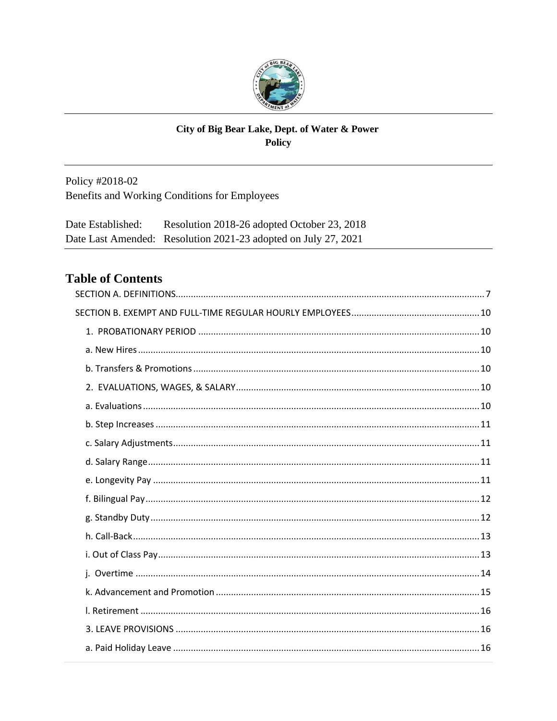

### City of Big Bear Lake, Dept. of Water & Power Policy

Policy #2018-02 Benefits and Working Conditions for Employees

Resolution 2018-26 adopted October 23, 2018 Date Established: Date Last Amended: Resolution 2021-23 adopted on July 27, 2021

# **Table of Contents**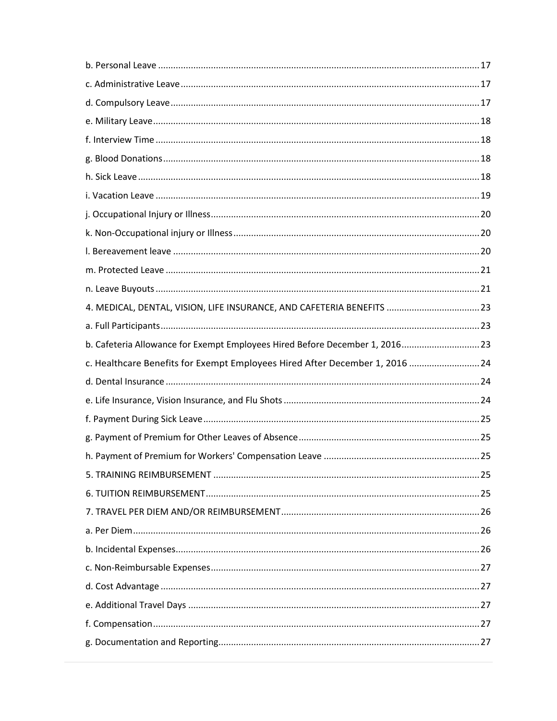| 4. MEDICAL, DENTAL, VISION, LIFE INSURANCE, AND CAFETERIA BENEFITS  23       |  |
|------------------------------------------------------------------------------|--|
|                                                                              |  |
| b. Cafeteria Allowance for Exempt Employees Hired Before December 1, 201623  |  |
| c. Healthcare Benefits for Exempt Employees Hired After December 1, 2016  24 |  |
|                                                                              |  |
|                                                                              |  |
|                                                                              |  |
|                                                                              |  |
|                                                                              |  |
|                                                                              |  |
|                                                                              |  |
|                                                                              |  |
|                                                                              |  |
|                                                                              |  |
|                                                                              |  |
|                                                                              |  |
|                                                                              |  |
|                                                                              |  |
|                                                                              |  |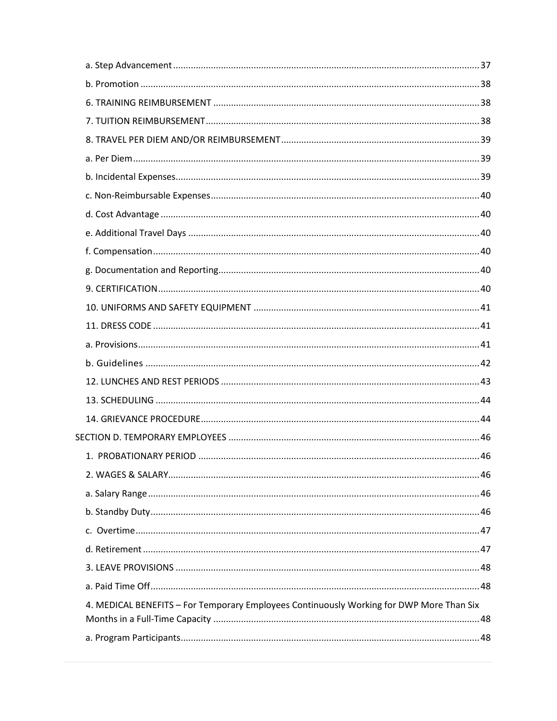| 4. MEDICAL BENEFITS - For Temporary Employees Continuously Working for DWP More Than Six |  |
|------------------------------------------------------------------------------------------|--|
|                                                                                          |  |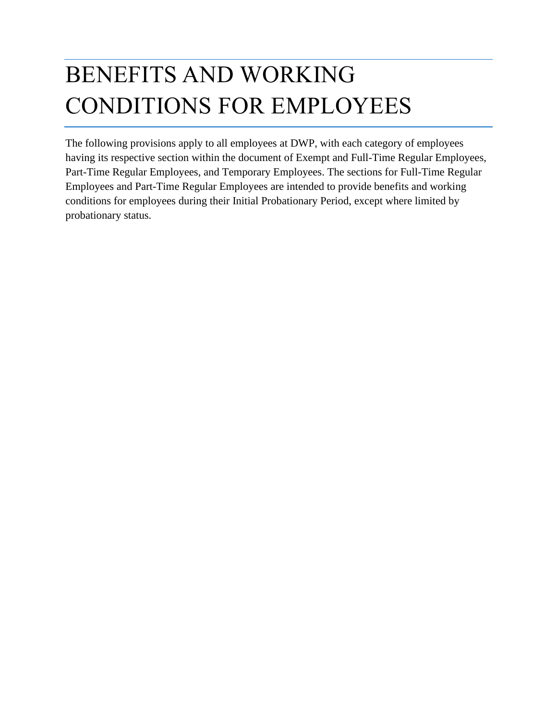# BENEFITS AND WORKING CONDITIONS FOR EMPLOYEES

The following provisions apply to all employees at DWP, with each category of employees having its respective section within the document of Exempt and Full-Time Regular Employees, Part-Time Regular Employees, and Temporary Employees. The sections for Full-Time Regular Employees and Part-Time Regular Employees are intended to provide benefits and working conditions for employees during their Initial Probationary Period, except where limited by probationary status.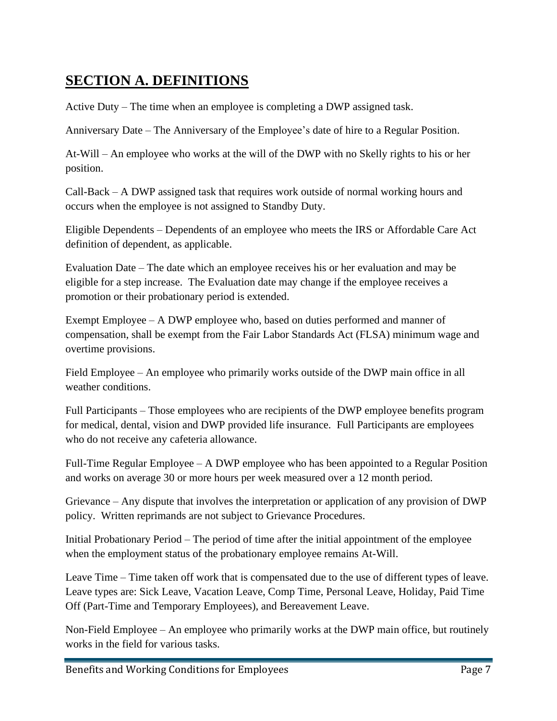# <span id="page-6-0"></span>**SECTION A. DEFINITIONS**

Active Duty – The time when an employee is completing a DWP assigned task.

Anniversary Date – The Anniversary of the Employee's date of hire to a Regular Position.

At-Will – An employee who works at the will of the DWP with no Skelly rights to his or her position.

Call-Back – A DWP assigned task that requires work outside of normal working hours and occurs when the employee is not assigned to Standby Duty.

Eligible Dependents – Dependents of an employee who meets the IRS or Affordable Care Act definition of dependent, as applicable.

Evaluation Date – The date which an employee receives his or her evaluation and may be eligible for a step increase. The Evaluation date may change if the employee receives a promotion or their probationary period is extended.

Exempt Employee – A DWP employee who, based on duties performed and manner of compensation, shall be exempt from the Fair Labor Standards Act (FLSA) minimum wage and overtime provisions.

Field Employee – An employee who primarily works outside of the DWP main office in all weather conditions.

Full Participants – Those employees who are recipients of the DWP employee benefits program for medical, dental, vision and DWP provided life insurance. Full Participants are employees who do not receive any cafeteria allowance.

Full-Time Regular Employee – A DWP employee who has been appointed to a Regular Position and works on average 30 or more hours per week measured over a 12 month period.

Grievance – Any dispute that involves the interpretation or application of any provision of DWP policy. Written reprimands are not subject to Grievance Procedures.

Initial Probationary Period – The period of time after the initial appointment of the employee when the employment status of the probationary employee remains At-Will.

Leave Time – Time taken off work that is compensated due to the use of different types of leave. Leave types are: Sick Leave, Vacation Leave, Comp Time, Personal Leave, Holiday, Paid Time Off (Part-Time and Temporary Employees), and Bereavement Leave.

Non-Field Employee – An employee who primarily works at the DWP main office, but routinely works in the field for various tasks.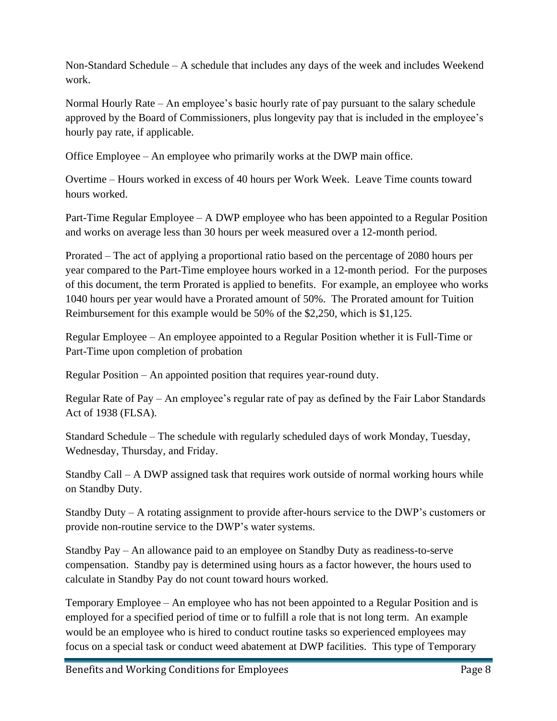Non-Standard Schedule – A schedule that includes any days of the week and includes Weekend work.

Normal Hourly Rate – An employee's basic hourly rate of pay pursuant to the salary schedule approved by the Board of Commissioners, plus longevity pay that is included in the employee's hourly pay rate, if applicable.

Office Employee – An employee who primarily works at the DWP main office.

Overtime – Hours worked in excess of 40 hours per Work Week. Leave Time counts toward hours worked.

Part-Time Regular Employee – A DWP employee who has been appointed to a Regular Position and works on average less than 30 hours per week measured over a 12-month period.

Prorated – The act of applying a proportional ratio based on the percentage of 2080 hours per year compared to the Part-Time employee hours worked in a 12-month period. For the purposes of this document, the term Prorated is applied to benefits. For example, an employee who works 1040 hours per year would have a Prorated amount of 50%. The Prorated amount for Tuition Reimbursement for this example would be 50% of the \$2,250, which is \$1,125.

Regular Employee – An employee appointed to a Regular Position whether it is Full-Time or Part-Time upon completion of probation

Regular Position – An appointed position that requires year-round duty.

Regular Rate of Pay – An employee's regular rate of pay as defined by the Fair Labor Standards Act of 1938 (FLSA).

Standard Schedule – The schedule with regularly scheduled days of work Monday, Tuesday, Wednesday, Thursday, and Friday.

Standby Call – A DWP assigned task that requires work outside of normal working hours while on Standby Duty.

Standby Duty – A rotating assignment to provide after-hours service to the DWP's customers or provide non-routine service to the DWP's water systems.

Standby Pay – An allowance paid to an employee on Standby Duty as readiness-to-serve compensation. Standby pay is determined using hours as a factor however, the hours used to calculate in Standby Pay do not count toward hours worked.

Temporary Employee – An employee who has not been appointed to a Regular Position and is employed for a specified period of time or to fulfill a role that is not long term. An example would be an employee who is hired to conduct routine tasks so experienced employees may focus on a special task or conduct weed abatement at DWP facilities. This type of Temporary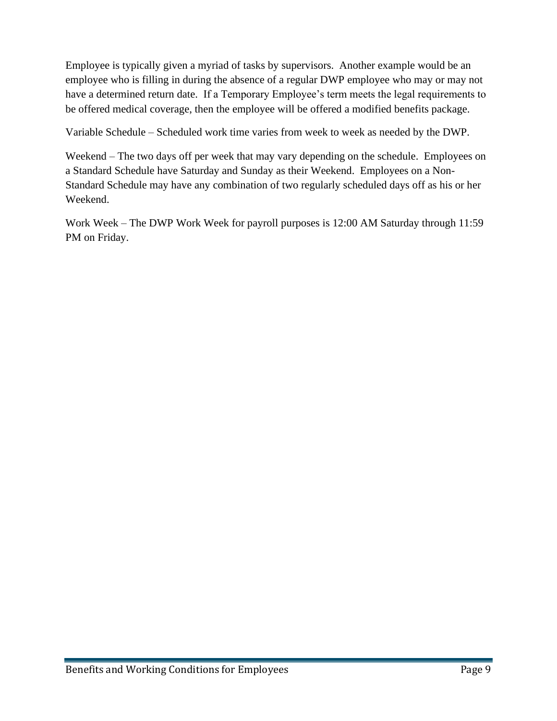Employee is typically given a myriad of tasks by supervisors. Another example would be an employee who is filling in during the absence of a regular DWP employee who may or may not have a determined return date. If a Temporary Employee's term meets the legal requirements to be offered medical coverage, then the employee will be offered a modified benefits package.

Variable Schedule – Scheduled work time varies from week to week as needed by the DWP.

Weekend – The two days off per week that may vary depending on the schedule. Employees on a Standard Schedule have Saturday and Sunday as their Weekend. Employees on a Non-Standard Schedule may have any combination of two regularly scheduled days off as his or her Weekend.

Work Week – The DWP Work Week for payroll purposes is 12:00 AM Saturday through 11:59 PM on Friday.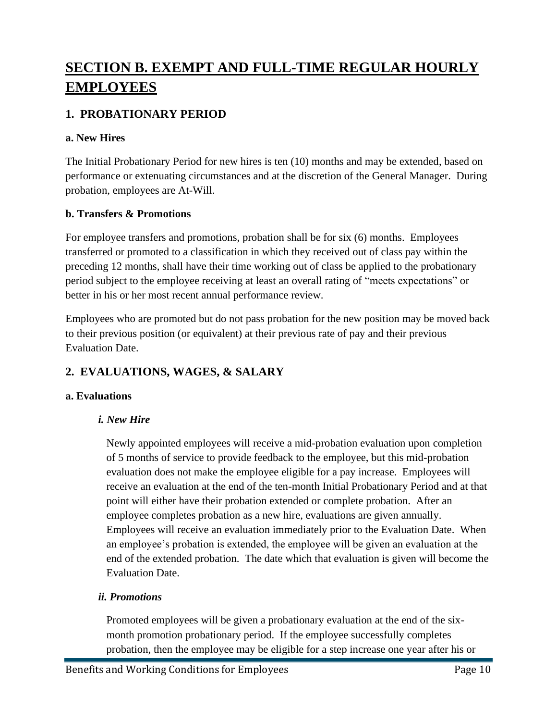# <span id="page-9-0"></span>**SECTION B. EXEMPT AND FULL-TIME REGULAR HOURLY EMPLOYEES**

# <span id="page-9-1"></span>**1. PROBATIONARY PERIOD**

### <span id="page-9-2"></span>**a. New Hires**

The Initial Probationary Period for new hires is ten (10) months and may be extended, based on performance or extenuating circumstances and at the discretion of the General Manager. During probation, employees are At-Will.

### <span id="page-9-3"></span>**b. Transfers & Promotions**

For employee transfers and promotions, probation shall be for six (6) months. Employees transferred or promoted to a classification in which they received out of class pay within the preceding 12 months, shall have their time working out of class be applied to the probationary period subject to the employee receiving at least an overall rating of "meets expectations" or better in his or her most recent annual performance review.

Employees who are promoted but do not pass probation for the new position may be moved back to their previous position (or equivalent) at their previous rate of pay and their previous Evaluation Date.

# <span id="page-9-4"></span>**2. EVALUATIONS, WAGES, & SALARY**

### <span id="page-9-5"></span>**a. Evaluations**

### *i. New Hire*

Newly appointed employees will receive a mid-probation evaluation upon completion of 5 months of service to provide feedback to the employee, but this mid-probation evaluation does not make the employee eligible for a pay increase. Employees will receive an evaluation at the end of the ten-month Initial Probationary Period and at that point will either have their probation extended or complete probation. After an employee completes probation as a new hire, evaluations are given annually. Employees will receive an evaluation immediately prior to the Evaluation Date. When an employee's probation is extended, the employee will be given an evaluation at the end of the extended probation. The date which that evaluation is given will become the Evaluation Date.

### *ii. Promotions*

Promoted employees will be given a probationary evaluation at the end of the sixmonth promotion probationary period. If the employee successfully completes probation, then the employee may be eligible for a step increase one year after his or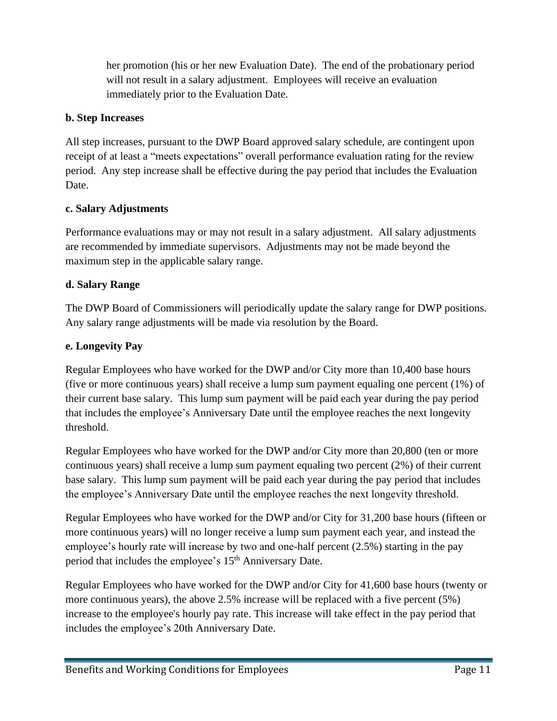her promotion (his or her new Evaluation Date). The end of the probationary period will not result in a salary adjustment. Employees will receive an evaluation immediately prior to the Evaluation Date.

### <span id="page-10-0"></span>**b. Step Increases**

All step increases, pursuant to the DWP Board approved salary schedule, are contingent upon receipt of at least a "meets expectations" overall performance evaluation rating for the review period. Any step increase shall be effective during the pay period that includes the Evaluation Date.

### <span id="page-10-1"></span>**c. Salary Adjustments**

Performance evaluations may or may not result in a salary adjustment. All salary adjustments are recommended by immediate supervisors. Adjustments may not be made beyond the maximum step in the applicable salary range.

### <span id="page-10-2"></span>**d. Salary Range**

The DWP Board of Commissioners will periodically update the salary range for DWP positions. Any salary range adjustments will be made via resolution by the Board.

### <span id="page-10-3"></span>**e. Longevity Pay**

Regular Employees who have worked for the DWP and/or City more than 10,400 base hours (five or more continuous years) shall receive a lump sum payment equaling one percent (1%) of their current base salary. This lump sum payment will be paid each year during the pay period that includes the employee's Anniversary Date until the employee reaches the next longevity threshold.

Regular Employees who have worked for the DWP and/or City more than 20,800 (ten or more continuous years) shall receive a lump sum payment equaling two percent (2%) of their current base salary. This lump sum payment will be paid each year during the pay period that includes the employee's Anniversary Date until the employee reaches the next longevity threshold.

Regular Employees who have worked for the DWP and/or City for 31,200 base hours (fifteen or more continuous years) will no longer receive a lump sum payment each year, and instead the employee's hourly rate will increase by two and one-half percent (2.5%) starting in the pay period that includes the employee's 15<sup>th</sup> Anniversary Date.

Regular Employees who have worked for the DWP and/or City for 41,600 base hours (twenty or more continuous years), the above 2.5% increase will be replaced with a five percent (5%) increase to the employee's hourly pay rate. This increase will take effect in the pay period that includes the employee's 20th Anniversary Date.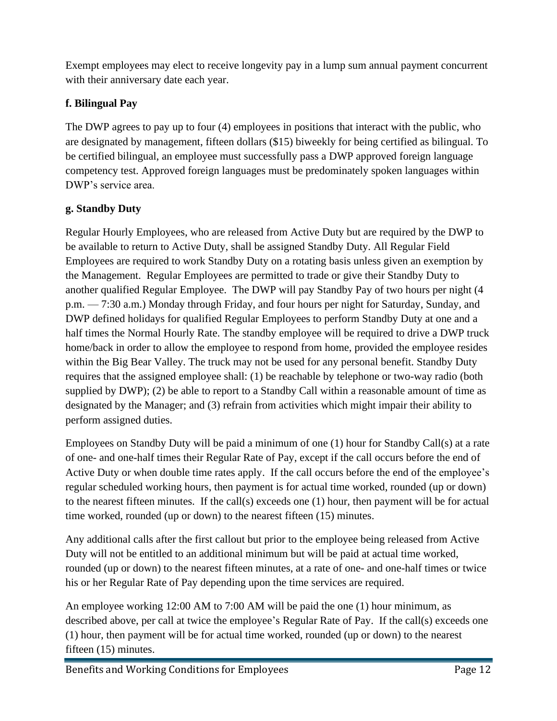Exempt employees may elect to receive longevity pay in a lump sum annual payment concurrent with their anniversary date each year.

### <span id="page-11-0"></span>**f. Bilingual Pay**

The DWP agrees to pay up to four (4) employees in positions that interact with the public, who are designated by management, fifteen dollars (\$15) biweekly for being certified as bilingual. To be certified bilingual, an employee must successfully pass a DWP approved foreign language competency test. Approved foreign languages must be predominately spoken languages within DWP's service area.

### <span id="page-11-1"></span>**g. Standby Duty**

Regular Hourly Employees, who are released from Active Duty but are required by the DWP to be available to return to Active Duty, shall be assigned Standby Duty. All Regular Field Employees are required to work Standby Duty on a rotating basis unless given an exemption by the Management. Regular Employees are permitted to trade or give their Standby Duty to another qualified Regular Employee. The DWP will pay Standby Pay of two hours per night (4 p.m. — 7:30 a.m.) Monday through Friday, and four hours per night for Saturday, Sunday, and DWP defined holidays for qualified Regular Employees to perform Standby Duty at one and a half times the Normal Hourly Rate. The standby employee will be required to drive a DWP truck home/back in order to allow the employee to respond from home, provided the employee resides within the Big Bear Valley. The truck may not be used for any personal benefit. Standby Duty requires that the assigned employee shall: (1) be reachable by telephone or two-way radio (both supplied by DWP); (2) be able to report to a Standby Call within a reasonable amount of time as designated by the Manager; and (3) refrain from activities which might impair their ability to perform assigned duties.

Employees on Standby Duty will be paid a minimum of one (1) hour for Standby Call(s) at a rate of one- and one-half times their Regular Rate of Pay, except if the call occurs before the end of Active Duty or when double time rates apply. If the call occurs before the end of the employee's regular scheduled working hours, then payment is for actual time worked, rounded (up or down) to the nearest fifteen minutes. If the call(s) exceeds one (1) hour, then payment will be for actual time worked, rounded (up or down) to the nearest fifteen (15) minutes.

Any additional calls after the first callout but prior to the employee being released from Active Duty will not be entitled to an additional minimum but will be paid at actual time worked, rounded (up or down) to the nearest fifteen minutes, at a rate of one- and one-half times or twice his or her Regular Rate of Pay depending upon the time services are required.

An employee working 12:00 AM to 7:00 AM will be paid the one (1) hour minimum, as described above, per call at twice the employee's Regular Rate of Pay. If the call(s) exceeds one (1) hour, then payment will be for actual time worked, rounded (up or down) to the nearest fifteen (15) minutes.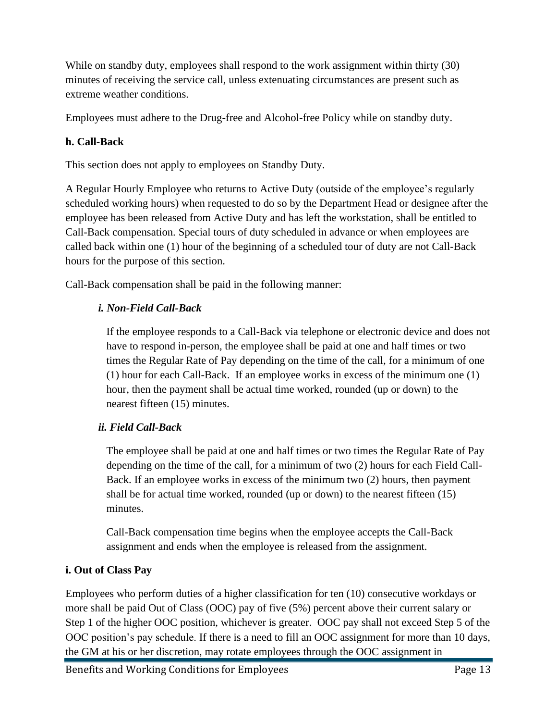While on standby duty, employees shall respond to the work assignment within thirty (30) minutes of receiving the service call, unless extenuating circumstances are present such as extreme weather conditions.

Employees must adhere to the Drug-free and Alcohol-free Policy while on standby duty.

### <span id="page-12-0"></span>**h. Call-Back**

This section does not apply to employees on Standby Duty.

A Regular Hourly Employee who returns to Active Duty (outside of the employee's regularly scheduled working hours) when requested to do so by the Department Head or designee after the employee has been released from Active Duty and has left the workstation, shall be entitled to Call-Back compensation. Special tours of duty scheduled in advance or when employees are called back within one (1) hour of the beginning of a scheduled tour of duty are not Call-Back hours for the purpose of this section.

Call-Back compensation shall be paid in the following manner:

### *i. Non-Field Call-Back*

If the employee responds to a Call-Back via telephone or electronic device and does not have to respond in-person, the employee shall be paid at one and half times or two times the Regular Rate of Pay depending on the time of the call, for a minimum of one (1) hour for each Call-Back. If an employee works in excess of the minimum one (1) hour, then the payment shall be actual time worked, rounded (up or down) to the nearest fifteen (15) minutes.

### *ii. Field Call-Back*

The employee shall be paid at one and half times or two times the Regular Rate of Pay depending on the time of the call, for a minimum of two (2) hours for each Field Call-Back. If an employee works in excess of the minimum two (2) hours, then payment shall be for actual time worked, rounded (up or down) to the nearest fifteen (15) minutes.

Call-Back compensation time begins when the employee accepts the Call-Back assignment and ends when the employee is released from the assignment.

### <span id="page-12-1"></span>**i. Out of Class Pay**

Employees who perform duties of a higher classification for ten (10) consecutive workdays or more shall be paid Out of Class (OOC) pay of five (5%) percent above their current salary or Step 1 of the higher OOC position, whichever is greater. OOC pay shall not exceed Step 5 of the OOC position's pay schedule. If there is a need to fill an OOC assignment for more than 10 days, the GM at his or her discretion, may rotate employees through the OOC assignment in

Benefits and Working Conditions for Employees Page 13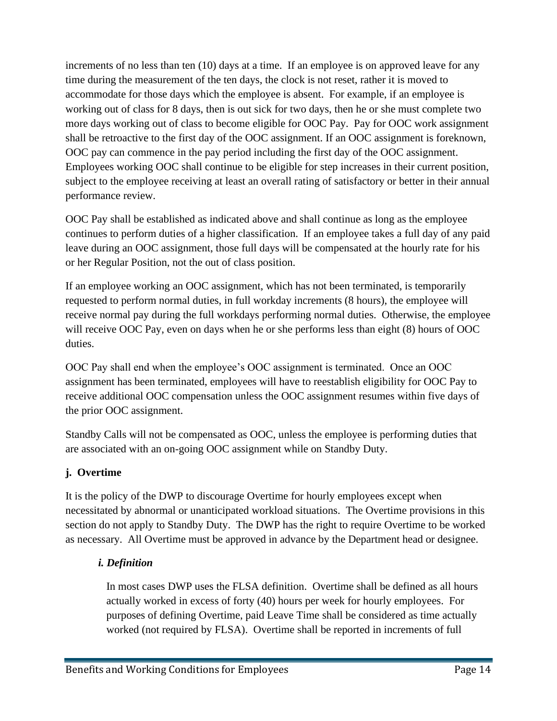increments of no less than ten (10) days at a time. If an employee is on approved leave for any time during the measurement of the ten days, the clock is not reset, rather it is moved to accommodate for those days which the employee is absent. For example, if an employee is working out of class for 8 days, then is out sick for two days, then he or she must complete two more days working out of class to become eligible for OOC Pay. Pay for OOC work assignment shall be retroactive to the first day of the OOC assignment. If an OOC assignment is foreknown, OOC pay can commence in the pay period including the first day of the OOC assignment. Employees working OOC shall continue to be eligible for step increases in their current position, subject to the employee receiving at least an overall rating of satisfactory or better in their annual performance review.

OOC Pay shall be established as indicated above and shall continue as long as the employee continues to perform duties of a higher classification. If an employee takes a full day of any paid leave during an OOC assignment, those full days will be compensated at the hourly rate for his or her Regular Position, not the out of class position.

If an employee working an OOC assignment, which has not been terminated, is temporarily requested to perform normal duties, in full workday increments (8 hours), the employee will receive normal pay during the full workdays performing normal duties. Otherwise, the employee will receive OOC Pay, even on days when he or she performs less than eight  $(8)$  hours of OOC duties.

OOC Pay shall end when the employee's OOC assignment is terminated. Once an OOC assignment has been terminated, employees will have to reestablish eligibility for OOC Pay to receive additional OOC compensation unless the OOC assignment resumes within five days of the prior OOC assignment.

Standby Calls will not be compensated as OOC, unless the employee is performing duties that are associated with an on-going OOC assignment while on Standby Duty.

### <span id="page-13-0"></span>**j. Overtime**

It is the policy of the DWP to discourage Overtime for hourly employees except when necessitated by abnormal or unanticipated workload situations. The Overtime provisions in this section do not apply to Standby Duty. The DWP has the right to require Overtime to be worked as necessary. All Overtime must be approved in advance by the Department head or designee.

### *i. Definition*

In most cases DWP uses the FLSA definition. Overtime shall be defined as all hours actually worked in excess of forty (40) hours per week for hourly employees. For purposes of defining Overtime, paid Leave Time shall be considered as time actually worked (not required by FLSA). Overtime shall be reported in increments of full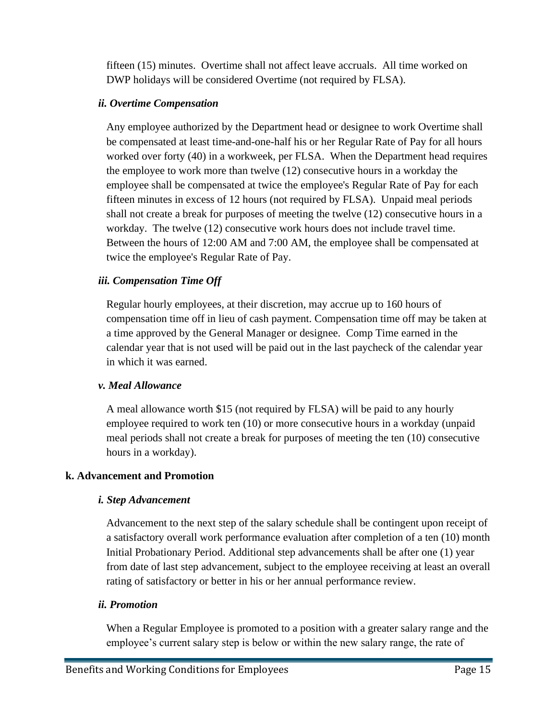fifteen (15) minutes. Overtime shall not affect leave accruals. All time worked on DWP holidays will be considered Overtime (not required by FLSA).

### *ii. Overtime Compensation*

Any employee authorized by the Department head or designee to work Overtime shall be compensated at least time-and-one-half his or her Regular Rate of Pay for all hours worked over forty (40) in a workweek, per FLSA. When the Department head requires the employee to work more than twelve (12) consecutive hours in a workday the employee shall be compensated at twice the employee's Regular Rate of Pay for each fifteen minutes in excess of 12 hours (not required by FLSA). Unpaid meal periods shall not create a break for purposes of meeting the twelve (12) consecutive hours in a workday. The twelve (12) consecutive work hours does not include travel time. Between the hours of 12:00 AM and 7:00 AM, the employee shall be compensated at twice the employee's Regular Rate of Pay.

### *iii. Compensation Time Off*

Regular hourly employees, at their discretion, may accrue up to 160 hours of compensation time off in lieu of cash payment. Compensation time off may be taken at a time approved by the General Manager or designee. Comp Time earned in the calendar year that is not used will be paid out in the last paycheck of the calendar year in which it was earned.

### *v. Meal Allowance*

A meal allowance worth \$15 (not required by FLSA) will be paid to any hourly employee required to work ten (10) or more consecutive hours in a workday (unpaid meal periods shall not create a break for purposes of meeting the ten (10) consecutive hours in a workday).

### <span id="page-14-0"></span>**k. Advancement and Promotion**

### *i. Step Advancement*

Advancement to the next step of the salary schedule shall be contingent upon receipt of a satisfactory overall work performance evaluation after completion of a ten (10) month Initial Probationary Period. Additional step advancements shall be after one (1) year from date of last step advancement, subject to the employee receiving at least an overall rating of satisfactory or better in his or her annual performance review.

### *ii. Promotion*

When a Regular Employee is promoted to a position with a greater salary range and the employee's current salary step is below or within the new salary range, the rate of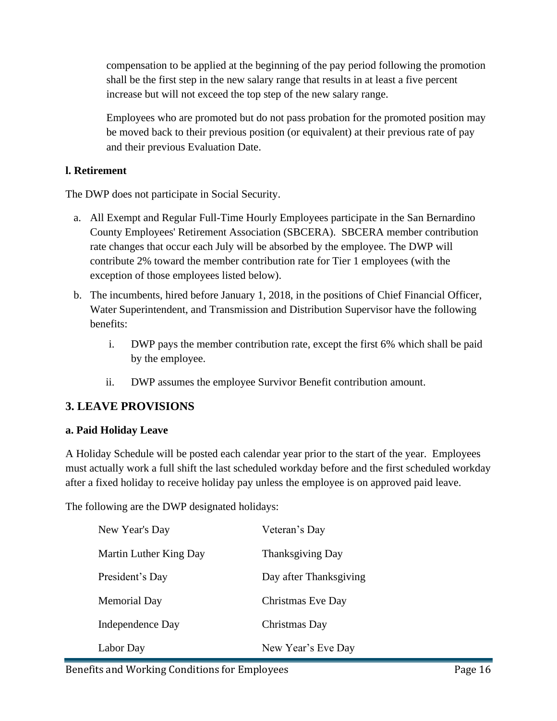compensation to be applied at the beginning of the pay period following the promotion shall be the first step in the new salary range that results in at least a five percent increase but will not exceed the top step of the new salary range.

Employees who are promoted but do not pass probation for the promoted position may be moved back to their previous position (or equivalent) at their previous rate of pay and their previous Evaluation Date.

### <span id="page-15-0"></span>**l. Retirement**

The DWP does not participate in Social Security.

- a. All Exempt and Regular Full-Time Hourly Employees participate in the San Bernardino County Employees' Retirement Association (SBCERA). SBCERA member contribution rate changes that occur each July will be absorbed by the employee. The DWP will contribute 2% toward the member contribution rate for Tier 1 employees (with the exception of those employees listed below).
- b. The incumbents, hired before January 1, 2018, in the positions of Chief Financial Officer, Water Superintendent, and Transmission and Distribution Supervisor have the following benefits:
	- i. DWP pays the member contribution rate, except the first 6% which shall be paid by the employee.
	- ii. DWP assumes the employee Survivor Benefit contribution amount.

# <span id="page-15-1"></span>**3. LEAVE PROVISIONS**

### <span id="page-15-2"></span>**a. Paid Holiday Leave**

A Holiday Schedule will be posted each calendar year prior to the start of the year. Employees must actually work a full shift the last scheduled workday before and the first scheduled workday after a fixed holiday to receive holiday pay unless the employee is on approved paid leave.

The following are the DWP designated holidays:

| New Year's Day         | Veteran's Day           |
|------------------------|-------------------------|
| Martin Luther King Day | <b>Thanksgiving Day</b> |
| President's Day        | Day after Thanksgiving  |
| Memorial Day           | Christmas Eve Day       |
| Independence Day       | Christmas Day           |
| Labor Day              | New Year's Eve Day      |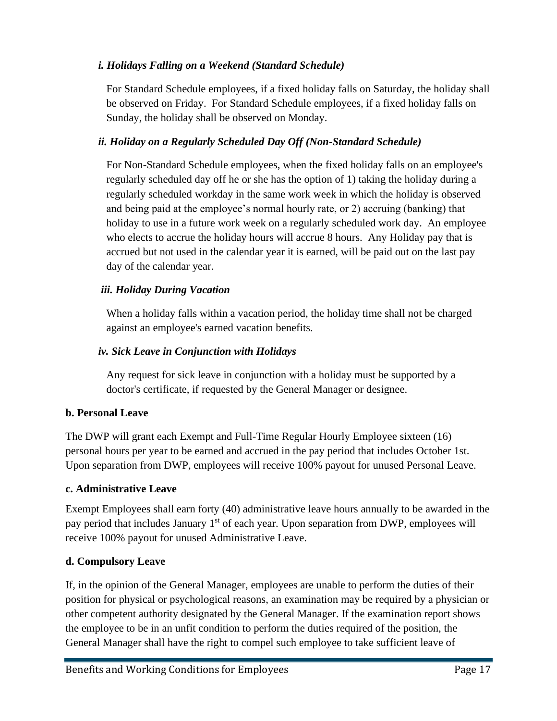### *i. Holidays Falling on a Weekend (Standard Schedule)*

For Standard Schedule employees, if a fixed holiday falls on Saturday, the holiday shall be observed on Friday. For Standard Schedule employees, if a fixed holiday falls on Sunday, the holiday shall be observed on Monday.

### *ii. Holiday on a Regularly Scheduled Day Off (Non-Standard Schedule)*

For Non-Standard Schedule employees, when the fixed holiday falls on an employee's regularly scheduled day off he or she has the option of 1) taking the holiday during a regularly scheduled workday in the same work week in which the holiday is observed and being paid at the employee's normal hourly rate, or 2) accruing (banking) that holiday to use in a future work week on a regularly scheduled work day. An employee who elects to accrue the holiday hours will accrue 8 hours. Any Holiday pay that is accrued but not used in the calendar year it is earned, will be paid out on the last pay day of the calendar year.

### *iii. Holiday During Vacation*

When a holiday falls within a vacation period, the holiday time shall not be charged against an employee's earned vacation benefits.

### *iv. Sick Leave in Conjunction with Holidays*

Any request for sick leave in conjunction with a holiday must be supported by a doctor's certificate, if requested by the General Manager or designee.

### <span id="page-16-0"></span>**b. Personal Leave**

The DWP will grant each Exempt and Full-Time Regular Hourly Employee sixteen (16) personal hours per year to be earned and accrued in the pay period that includes October 1st. Upon separation from DWP, employees will receive 100% payout for unused Personal Leave.

### <span id="page-16-1"></span>**c. Administrative Leave**

Exempt Employees shall earn forty (40) administrative leave hours annually to be awarded in the pay period that includes January 1<sup>st</sup> of each year. Upon separation from DWP, employees will receive 100% payout for unused Administrative Leave.

### <span id="page-16-2"></span>**d. Compulsory Leave**

If, in the opinion of the General Manager, employees are unable to perform the duties of their position for physical or psychological reasons, an examination may be required by a physician or other competent authority designated by the General Manager. If the examination report shows the employee to be in an unfit condition to perform the duties required of the position, the General Manager shall have the right to compel such employee to take sufficient leave of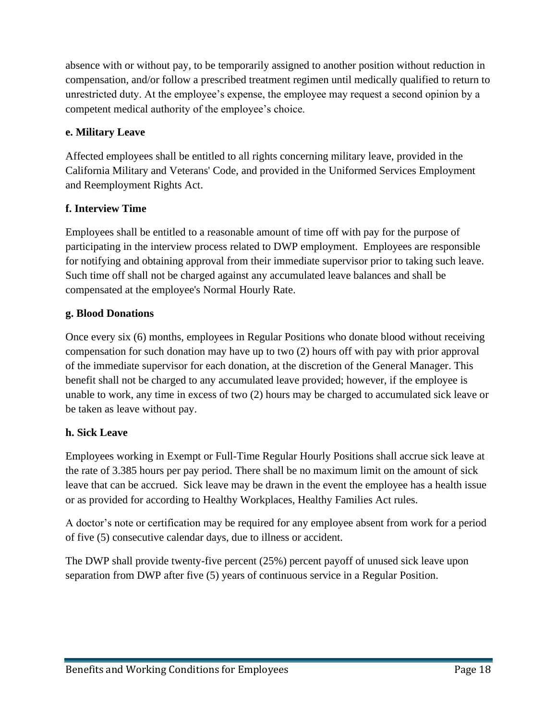absence with or without pay, to be temporarily assigned to another position without reduction in compensation, and/or follow a prescribed treatment regimen until medically qualified to return to unrestricted duty. At the employee's expense, the employee may request a second opinion by a competent medical authority of the employee's choice.

### <span id="page-17-0"></span>**e. Military Leave**

Affected employees shall be entitled to all rights concerning military leave, provided in the California Military and Veterans' Code, and provided in the Uniformed Services Employment and Reemployment Rights Act.

### <span id="page-17-1"></span>**f. Interview Time**

Employees shall be entitled to a reasonable amount of time off with pay for the purpose of participating in the interview process related to DWP employment. Employees are responsible for notifying and obtaining approval from their immediate supervisor prior to taking such leave. Such time off shall not be charged against any accumulated leave balances and shall be compensated at the employee's Normal Hourly Rate.

### <span id="page-17-2"></span>**g. Blood Donations**

Once every six (6) months, employees in Regular Positions who donate blood without receiving compensation for such donation may have up to two (2) hours off with pay with prior approval of the immediate supervisor for each donation, at the discretion of the General Manager. This benefit shall not be charged to any accumulated leave provided; however, if the employee is unable to work, any time in excess of two (2) hours may be charged to accumulated sick leave or be taken as leave without pay.

### <span id="page-17-3"></span>**h. Sick Leave**

Employees working in Exempt or Full-Time Regular Hourly Positions shall accrue sick leave at the rate of 3.385 hours per pay period. There shall be no maximum limit on the amount of sick leave that can be accrued. Sick leave may be drawn in the event the employee has a health issue or as provided for according to Healthy Workplaces, Healthy Families Act rules.

A doctor's note or certification may be required for any employee absent from work for a period of five (5) consecutive calendar days, due to illness or accident.

The DWP shall provide twenty-five percent (25%) percent payoff of unused sick leave upon separation from DWP after five (5) years of continuous service in a Regular Position.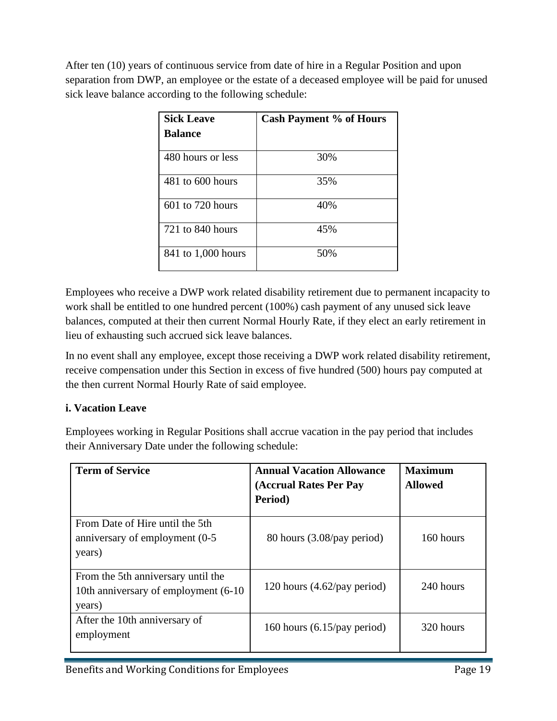After ten (10) years of continuous service from date of hire in a Regular Position and upon separation from DWP, an employee or the estate of a deceased employee will be paid for unused sick leave balance according to the following schedule:

| <b>Sick Leave</b>    | <b>Cash Payment % of Hours</b> |
|----------------------|--------------------------------|
| <b>Balance</b>       |                                |
| 480 hours or less    | 30%                            |
| $481$ to $600$ hours | 35%                            |
| $601$ to $720$ hours | 40%                            |
| $721$ to $840$ hours | 45%                            |
| 841 to 1,000 hours   | 50%                            |

Employees who receive a DWP work related disability retirement due to permanent incapacity to work shall be entitled to one hundred percent (100%) cash payment of any unused sick leave balances, computed at their then current Normal Hourly Rate, if they elect an early retirement in lieu of exhausting such accrued sick leave balances.

In no event shall any employee, except those receiving a DWP work related disability retirement, receive compensation under this Section in excess of five hundred (500) hours pay computed at the then current Normal Hourly Rate of said employee.

# <span id="page-18-0"></span>**i. Vacation Leave**

Employees working in Regular Positions shall accrue vacation in the pay period that includes their Anniversary Date under the following schedule:

| <b>Term of Service</b>                                                                | <b>Annual Vacation Allowance</b><br>(Accrual Rates Per Pay<br>Period) | <b>Maximum</b><br><b>Allowed</b> |
|---------------------------------------------------------------------------------------|-----------------------------------------------------------------------|----------------------------------|
| From Date of Hire until the 5th<br>anniversary of employment (0-5<br>years)           | 80 hours (3.08/pay period)                                            | 160 hours                        |
| From the 5th anniversary until the<br>10th anniversary of employment (6-10)<br>years) | 120 hours $(4.62$ /pay period)                                        | 240 hours                        |
| After the 10th anniversary of<br>employment                                           | 160 hours $(6.15$ /pay period)                                        | 320 hours                        |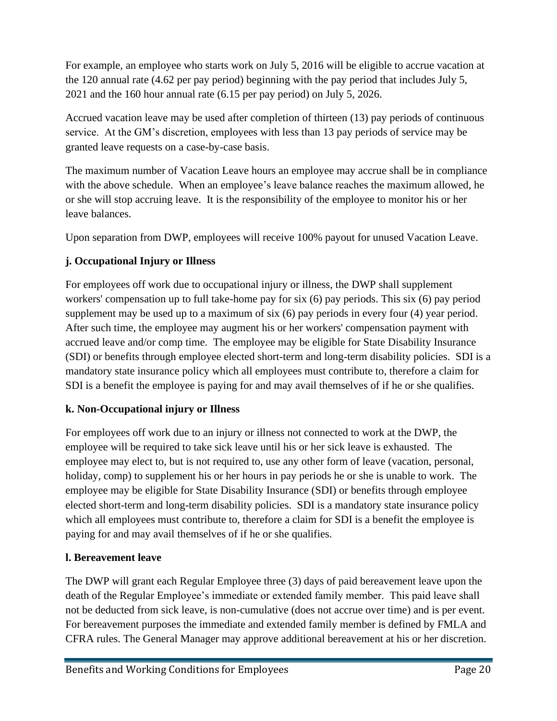For example, an employee who starts work on July 5, 2016 will be eligible to accrue vacation at the 120 annual rate (4.62 per pay period) beginning with the pay period that includes July 5, 2021 and the 160 hour annual rate (6.15 per pay period) on July 5, 2026.

Accrued vacation leave may be used after completion of thirteen (13) pay periods of continuous service. At the GM's discretion, employees with less than 13 pay periods of service may be granted leave requests on a case-by-case basis.

The maximum number of Vacation Leave hours an employee may accrue shall be in compliance with the above schedule. When an employee's leave balance reaches the maximum allowed, he or she will stop accruing leave. It is the responsibility of the employee to monitor his or her leave balances.

Upon separation from DWP, employees will receive 100% payout for unused Vacation Leave.

# <span id="page-19-0"></span>**j. Occupational Injury or Illness**

For employees off work due to occupational injury or illness, the DWP shall supplement workers' compensation up to full take-home pay for six (6) pay periods. This six (6) pay period supplement may be used up to a maximum of six (6) pay periods in every four (4) year period. After such time, the employee may augment his or her workers' compensation payment with accrued leave and/or comp time. The employee may be eligible for State Disability Insurance (SDI) or benefits through employee elected short-term and long-term disability policies. SDI is a mandatory state insurance policy which all employees must contribute to, therefore a claim for SDI is a benefit the employee is paying for and may avail themselves of if he or she qualifies.

### <span id="page-19-1"></span>**k. Non-Occupational injury or Illness**

For employees off work due to an injury or illness not connected to work at the DWP, the employee will be required to take sick leave until his or her sick leave is exhausted. The employee may elect to, but is not required to, use any other form of leave (vacation, personal, holiday, comp) to supplement his or her hours in pay periods he or she is unable to work. The employee may be eligible for State Disability Insurance (SDI) or benefits through employee elected short-term and long-term disability policies. SDI is a mandatory state insurance policy which all employees must contribute to, therefore a claim for SDI is a benefit the employee is paying for and may avail themselves of if he or she qualifies.

# <span id="page-19-2"></span>**l. Bereavement leave**

The DWP will grant each Regular Employee three (3) days of paid bereavement leave upon the death of the Regular Employee's immediate or extended family member. This paid leave shall not be deducted from sick leave, is non-cumulative (does not accrue over time) and is per event. For bereavement purposes the immediate and extended family member is defined by FMLA and CFRA rules. The General Manager may approve additional bereavement at his or her discretion.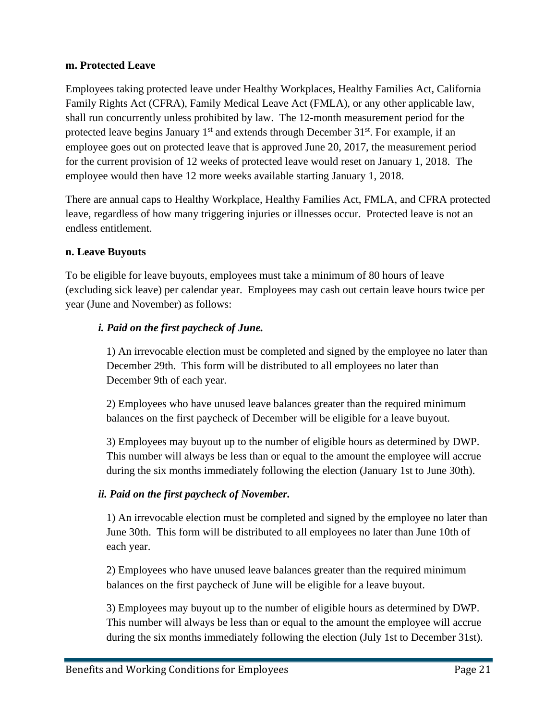### <span id="page-20-0"></span>**m. Protected Leave**

Employees taking protected leave under Healthy Workplaces, Healthy Families Act, California Family Rights Act (CFRA), Family Medical Leave Act (FMLA), or any other applicable law, shall run concurrently unless prohibited by law. The 12-month measurement period for the protected leave begins January 1<sup>st</sup> and extends through December 31<sup>st</sup>. For example, if an employee goes out on protected leave that is approved June 20, 2017, the measurement period for the current provision of 12 weeks of protected leave would reset on January 1, 2018. The employee would then have 12 more weeks available starting January 1, 2018.

There are annual caps to Healthy Workplace, Healthy Families Act, FMLA, and CFRA protected leave, regardless of how many triggering injuries or illnesses occur. Protected leave is not an endless entitlement.

#### <span id="page-20-1"></span>**n. Leave Buyouts**

To be eligible for leave buyouts, employees must take a minimum of 80 hours of leave (excluding sick leave) per calendar year. Employees may cash out certain leave hours twice per year (June and November) as follows:

### *i. Paid on the first paycheck of June.*

1) An irrevocable election must be completed and signed by the employee no later than December 29th. This form will be distributed to all employees no later than December 9th of each year.

2) Employees who have unused leave balances greater than the required minimum balances on the first paycheck of December will be eligible for a leave buyout.

3) Employees may buyout up to the number of eligible hours as determined by DWP. This number will always be less than or equal to the amount the employee will accrue during the six months immediately following the election (January 1st to June 30th).

### *ii. Paid on the first paycheck of November.*

1) An irrevocable election must be completed and signed by the employee no later than June 30th. This form will be distributed to all employees no later than June 10th of each year.

2) Employees who have unused leave balances greater than the required minimum balances on the first paycheck of June will be eligible for a leave buyout.

3) Employees may buyout up to the number of eligible hours as determined by DWP. This number will always be less than or equal to the amount the employee will accrue during the six months immediately following the election (July 1st to December 31st).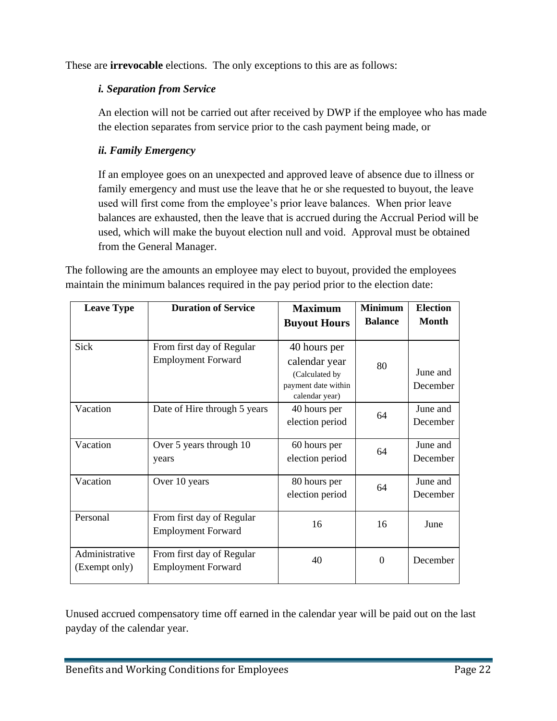These are **irrevocable** elections. The only exceptions to this are as follows:

### *i. Separation from Service*

An election will not be carried out after received by DWP if the employee who has made the election separates from service prior to the cash payment being made, or

### *ii. Family Emergency*

If an employee goes on an unexpected and approved leave of absence due to illness or family emergency and must use the leave that he or she requested to buyout, the leave used will first come from the employee's prior leave balances. When prior leave balances are exhausted, then the leave that is accrued during the Accrual Period will be used, which will make the buyout election null and void. Approval must be obtained from the General Manager.

The following are the amounts an employee may elect to buyout, provided the employees maintain the minimum balances required in the pay period prior to the election date:

| <b>Leave Type</b> | <b>Duration of Service</b>   | <b>Maximum</b>      | <b>Minimum</b> | <b>Election</b> |
|-------------------|------------------------------|---------------------|----------------|-----------------|
|                   |                              | <b>Buyout Hours</b> | <b>Balance</b> | <b>Month</b>    |
|                   |                              |                     |                |                 |
| Sick              | From first day of Regular    | 40 hours per        |                |                 |
|                   | <b>Employment Forward</b>    | calendar year       | 80             |                 |
|                   |                              | (Calculated by      |                | June and        |
|                   |                              | payment date within |                | December        |
|                   |                              | calendar year)      |                |                 |
| Vacation          | Date of Hire through 5 years | 40 hours per        | 64             | June and        |
|                   |                              | election period     |                | December        |
|                   |                              |                     |                |                 |
| Vacation          | Over 5 years through 10      | 60 hours per        | 64             | June and        |
|                   | years                        | election period     |                | December        |
|                   |                              |                     |                |                 |
| Vacation          | Over 10 years                | 80 hours per        | 64             | June and        |
|                   |                              | election period     |                | December        |
| Personal          | From first day of Regular    |                     |                |                 |
|                   | <b>Employment Forward</b>    | 16                  | 16             | June            |
|                   |                              |                     |                |                 |
| Administrative    | From first day of Regular    | 40                  | $\Omega$       | December        |
| (Exempt only)     | <b>Employment Forward</b>    |                     |                |                 |
|                   |                              |                     |                |                 |

Unused accrued compensatory time off earned in the calendar year will be paid out on the last payday of the calendar year.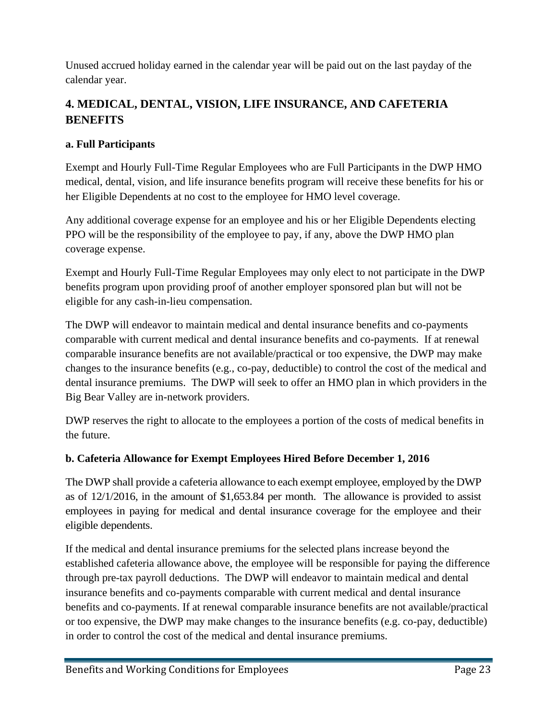Unused accrued holiday earned in the calendar year will be paid out on the last payday of the calendar year.

# <span id="page-22-0"></span>**4. MEDICAL, DENTAL, VISION, LIFE INSURANCE, AND CAFETERIA BENEFITS**

### <span id="page-22-1"></span>**a. Full Participants**

Exempt and Hourly Full-Time Regular Employees who are Full Participants in the DWP HMO medical, dental, vision, and life insurance benefits program will receive these benefits for his or her Eligible Dependents at no cost to the employee for HMO level coverage.

Any additional coverage expense for an employee and his or her Eligible Dependents electing PPO will be the responsibility of the employee to pay, if any, above the DWP HMO plan coverage expense.

Exempt and Hourly Full-Time Regular Employees may only elect to not participate in the DWP benefits program upon providing proof of another employer sponsored plan but will not be eligible for any cash-in-lieu compensation.

The DWP will endeavor to maintain medical and dental insurance benefits and co-payments comparable with current medical and dental insurance benefits and co-payments. If at renewal comparable insurance benefits are not available/practical or too expensive, the DWP may make changes to the insurance benefits (e.g., co-pay, deductible) to control the cost of the medical and dental insurance premiums. The DWP will seek to offer an HMO plan in which providers in the Big Bear Valley are in-network providers.

DWP reserves the right to allocate to the employees a portion of the costs of medical benefits in the future.

### <span id="page-22-2"></span>**b. Cafeteria Allowance for Exempt Employees Hired Before December 1, 2016**

The DWP shall provide a cafeteria allowance to each exempt employee, employed by the DWP as of 12/1/2016, in the amount of \$1,653.84 per month. The allowance is provided to assist employees in paying for medical and dental insurance coverage for the employee and their eligible dependents.

If the medical and dental insurance premiums for the selected plans increase beyond the established cafeteria allowance above, the employee will be responsible for paying the difference through pre-tax payroll deductions. The DWP will endeavor to maintain medical and dental insurance benefits and co-payments comparable with current medical and dental insurance benefits and co-payments. If at renewal comparable insurance benefits are not available/practical or too expensive, the DWP may make changes to the insurance benefits (e.g. co-pay, deductible) in order to control the cost of the medical and dental insurance premiums.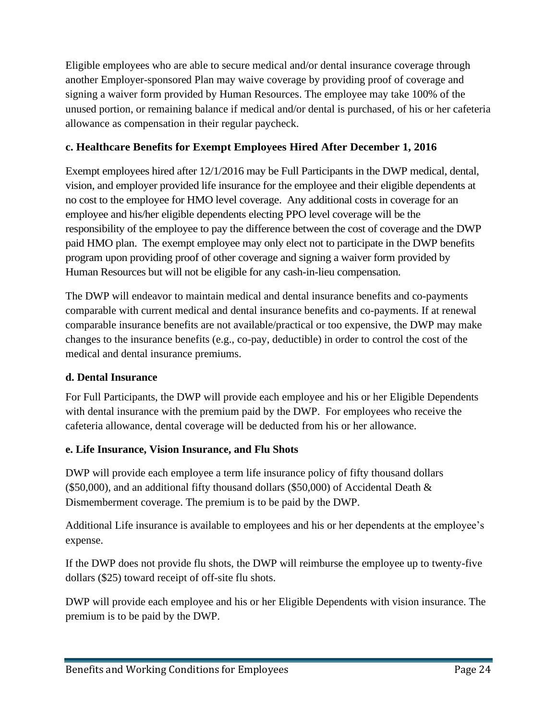Eligible employees who are able to secure medical and/or dental insurance coverage through another Employer-sponsored Plan may waive coverage by providing proof of coverage and signing a waiver form provided by Human Resources. The employee may take 100% of the unused portion, or remaining balance if medical and/or dental is purchased, of his or her cafeteria allowance as compensation in their regular paycheck.

### <span id="page-23-0"></span>**c. Healthcare Benefits for Exempt Employees Hired After December 1, 2016**

Exempt employees hired after 12/1/2016 may be Full Participants in the DWP medical, dental, vision, and employer provided life insurance for the employee and their eligible dependents at no cost to the employee for HMO level coverage. Any additional costs in coverage for an employee and his/her eligible dependents electing PPO level coverage will be the responsibility of the employee to pay the difference between the cost of coverage and the DWP paid HMO plan. The exempt employee may only elect not to participate in the DWP benefits program upon providing proof of other coverage and signing a waiver form provided by Human Resources but will not be eligible for any cash-in-lieu compensation.

The DWP will endeavor to maintain medical and dental insurance benefits and co-payments comparable with current medical and dental insurance benefits and co-payments. If at renewal comparable insurance benefits are not available/practical or too expensive, the DWP may make changes to the insurance benefits (e.g., co-pay, deductible) in order to control the cost of the medical and dental insurance premiums.

### <span id="page-23-1"></span>**d. Dental Insurance**

For Full Participants, the DWP will provide each employee and his or her Eligible Dependents with dental insurance with the premium paid by the DWP. For employees who receive the cafeteria allowance, dental coverage will be deducted from his or her allowance.

# <span id="page-23-2"></span>**e. Life Insurance, Vision Insurance, and Flu Shots**

DWP will provide each employee a term life insurance policy of fifty thousand dollars (\$50,000), and an additional fifty thousand dollars (\$50,000) of Accidental Death  $\&$ Dismemberment coverage. The premium is to be paid by the DWP.

Additional Life insurance is available to employees and his or her dependents at the employee's expense.

If the DWP does not provide flu shots, the DWP will reimburse the employee up to twenty-five dollars (\$25) toward receipt of off-site flu shots.

DWP will provide each employee and his or her Eligible Dependents with vision insurance. The premium is to be paid by the DWP.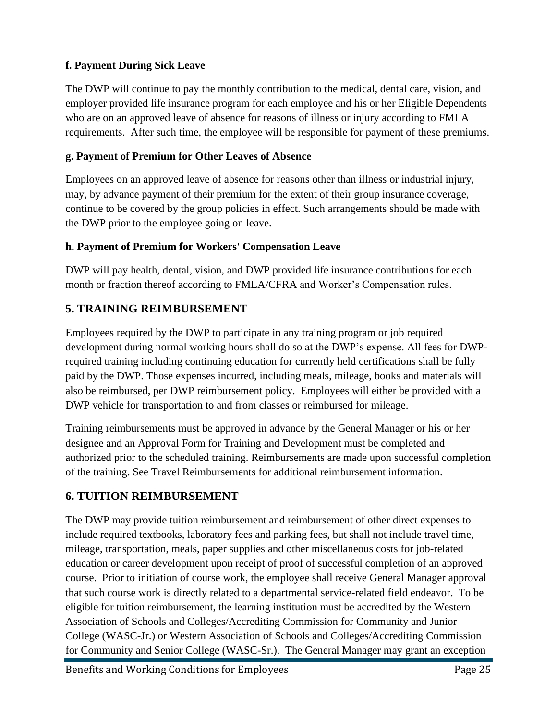### <span id="page-24-0"></span>**f. Payment During Sick Leave**

The DWP will continue to pay the monthly contribution to the medical, dental care, vision, and employer provided life insurance program for each employee and his or her Eligible Dependents who are on an approved leave of absence for reasons of illness or injury according to FMLA requirements. After such time, the employee will be responsible for payment of these premiums.

### <span id="page-24-1"></span>**g. Payment of Premium for Other Leaves of Absence**

Employees on an approved leave of absence for reasons other than illness or industrial injury, may, by advance payment of their premium for the extent of their group insurance coverage, continue to be covered by the group policies in effect. Such arrangements should be made with the DWP prior to the employee going on leave.

### <span id="page-24-2"></span>**h. Payment of Premium for Workers' Compensation Leave**

DWP will pay health, dental, vision, and DWP provided life insurance contributions for each month or fraction thereof according to FMLA/CFRA and Worker's Compensation rules.

### <span id="page-24-3"></span>**5. TRAINING REIMBURSEMENT**

Employees required by the DWP to participate in any training program or job required development during normal working hours shall do so at the DWP's expense. All fees for DWPrequired training including continuing education for currently held certifications shall be fully paid by the DWP. Those expenses incurred, including meals, mileage, books and materials will also be reimbursed, per DWP reimbursement policy. Employees will either be provided with a DWP vehicle for transportation to and from classes or reimbursed for mileage.

Training reimbursements must be approved in advance by the General Manager or his or her designee and an Approval Form for Training and Development must be completed and authorized prior to the scheduled training. Reimbursements are made upon successful completion of the training. See Travel Reimbursements for additional reimbursement information.

# <span id="page-24-4"></span>**6. TUITION REIMBURSEMENT**

The DWP may provide tuition reimbursement and reimbursement of other direct expenses to include required textbooks, laboratory fees and parking fees, but shall not include travel time, mileage, transportation, meals, paper supplies and other miscellaneous costs for job-related education or career development upon receipt of proof of successful completion of an approved course. Prior to initiation of course work, the employee shall receive General Manager approval that such course work is directly related to a departmental service-related field endeavor. To be eligible for tuition reimbursement, the learning institution must be accredited by the Western Association of Schools and Colleges/Accrediting Commission for Community and Junior College (WASC-Jr.) or Western Association of Schools and Colleges/Accrediting Commission for Community and Senior College (WASC-Sr.). The General Manager may grant an exception

Benefits and Working Conditions for Employees Page 25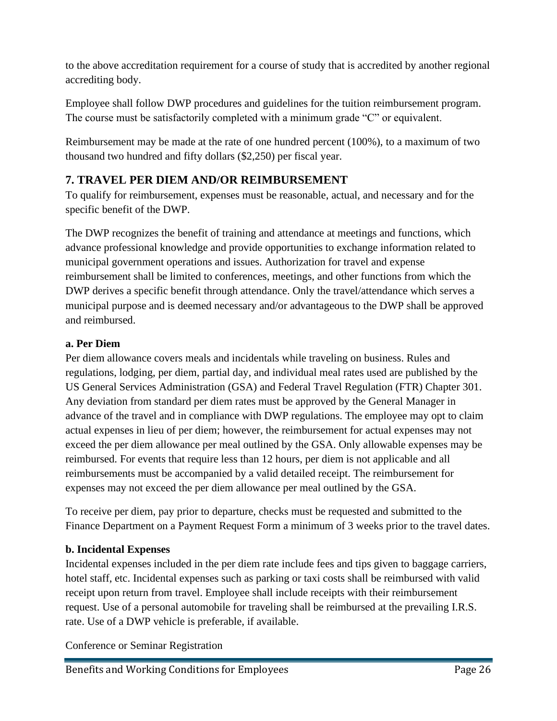to the above accreditation requirement for a course of study that is accredited by another regional accrediting body.

Employee shall follow DWP procedures and guidelines for the tuition reimbursement program. The course must be satisfactorily completed with a minimum grade "C" or equivalent.

Reimbursement may be made at the rate of one hundred percent (100%), to a maximum of two thousand two hundred and fifty dollars (\$2,250) per fiscal year.

# <span id="page-25-0"></span>**7. TRAVEL PER DIEM AND/OR REIMBURSEMENT**

To qualify for reimbursement, expenses must be reasonable, actual, and necessary and for the specific benefit of the DWP.

The DWP recognizes the benefit of training and attendance at meetings and functions, which advance professional knowledge and provide opportunities to exchange information related to municipal government operations and issues. Authorization for travel and expense reimbursement shall be limited to conferences, meetings, and other functions from which the DWP derives a specific benefit through attendance. Only the travel/attendance which serves a municipal purpose and is deemed necessary and/or advantageous to the DWP shall be approved and reimbursed.

# <span id="page-25-1"></span>**a. Per Diem**

Per diem allowance covers meals and incidentals while traveling on business. Rules and regulations, lodging, per diem, partial day, and individual meal rates used are published by the US General Services Administration (GSA) and Federal Travel Regulation (FTR) Chapter 301. Any deviation from standard per diem rates must be approved by the General Manager in advance of the travel and in compliance with DWP regulations. The employee may opt to claim actual expenses in lieu of per diem; however, the reimbursement for actual expenses may not exceed the per diem allowance per meal outlined by the GSA. Only allowable expenses may be reimbursed. For events that require less than 12 hours, per diem is not applicable and all reimbursements must be accompanied by a valid detailed receipt. The reimbursement for expenses may not exceed the per diem allowance per meal outlined by the GSA.

To receive per diem, pay prior to departure, checks must be requested and submitted to the Finance Department on a Payment Request Form a minimum of 3 weeks prior to the travel dates.

# <span id="page-25-2"></span>**b. Incidental Expenses**

Incidental expenses included in the per diem rate include fees and tips given to baggage carriers, hotel staff, etc. Incidental expenses such as parking or taxi costs shall be reimbursed with valid receipt upon return from travel. Employee shall include receipts with their reimbursement request. Use of a personal automobile for traveling shall be reimbursed at the prevailing I.R.S. rate. Use of a DWP vehicle is preferable, if available.

Conference or Seminar Registration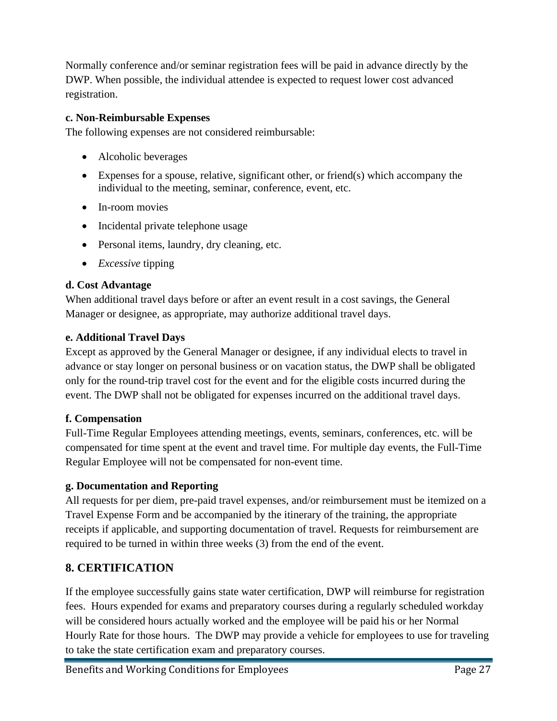Normally conference and/or seminar registration fees will be paid in advance directly by the DWP. When possible, the individual attendee is expected to request lower cost advanced registration.

### <span id="page-26-0"></span>**c. Non-Reimbursable Expenses**

The following expenses are not considered reimbursable:

- Alcoholic beverages
- Expenses for a spouse, relative, significant other, or friend(s) which accompany the individual to the meeting, seminar, conference, event, etc.
- In-room movies
- Incidental private telephone usage
- Personal items, laundry, dry cleaning, etc.
- *Excessive* tipping

### <span id="page-26-1"></span>**d. Cost Advantage**

When additional travel days before or after an event result in a cost savings, the General Manager or designee, as appropriate, may authorize additional travel days.

### <span id="page-26-2"></span>**e. Additional Travel Days**

Except as approved by the General Manager or designee, if any individual elects to travel in advance or stay longer on personal business or on vacation status, the DWP shall be obligated only for the round-trip travel cost for the event and for the eligible costs incurred during the event. The DWP shall not be obligated for expenses incurred on the additional travel days.

### <span id="page-26-3"></span>**f. Compensation**

Full-Time Regular Employees attending meetings, events, seminars, conferences, etc. will be compensated for time spent at the event and travel time. For multiple day events, the Full-Time Regular Employee will not be compensated for non-event time.

### <span id="page-26-4"></span>**g. Documentation and Reporting**

All requests for per diem, pre-paid travel expenses, and/or reimbursement must be itemized on a Travel Expense Form and be accompanied by the itinerary of the training, the appropriate receipts if applicable, and supporting documentation of travel. Requests for reimbursement are required to be turned in within three weeks (3) from the end of the event.

# <span id="page-26-5"></span>**8. CERTIFICATION**

If the employee successfully gains state water certification, DWP will reimburse for registration fees. Hours expended for exams and preparatory courses during a regularly scheduled workday will be considered hours actually worked and the employee will be paid his or her Normal Hourly Rate for those hours. The DWP may provide a vehicle for employees to use for traveling to take the state certification exam and preparatory courses.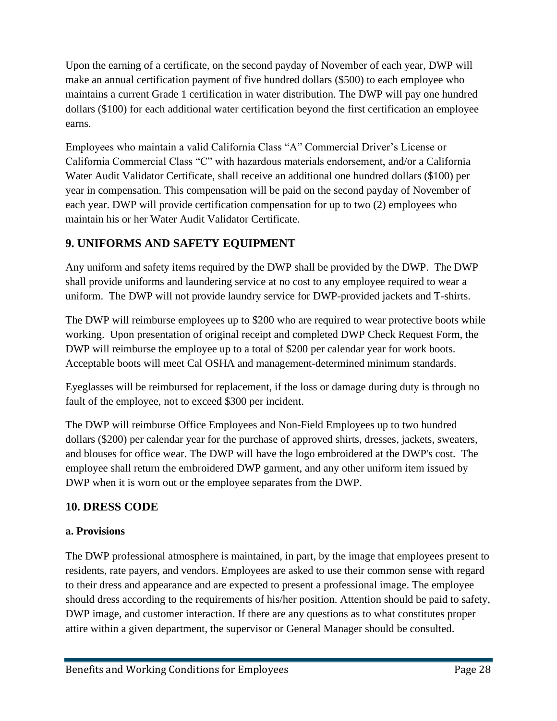Upon the earning of a certificate, on the second payday of November of each year, DWP will make an annual certification payment of five hundred dollars (\$500) to each employee who maintains a current Grade 1 certification in water distribution. The DWP will pay one hundred dollars (\$100) for each additional water certification beyond the first certification an employee earns.

Employees who maintain a valid California Class "A" Commercial Driver's License or California Commercial Class "C" with hazardous materials endorsement, and/or a California Water Audit Validator Certificate, shall receive an additional one hundred dollars (\$100) per year in compensation. This compensation will be paid on the second payday of November of each year. DWP will provide certification compensation for up to two (2) employees who maintain his or her Water Audit Validator Certificate.

# <span id="page-27-0"></span>**9. UNIFORMS AND SAFETY EQUIPMENT**

Any uniform and safety items required by the DWP shall be provided by the DWP. The DWP shall provide uniforms and laundering service at no cost to any employee required to wear a uniform. The DWP will not provide laundry service for DWP-provided jackets and T-shirts.

The DWP will reimburse employees up to \$200 who are required to wear protective boots while working. Upon presentation of original receipt and completed DWP Check Request Form, the DWP will reimburse the employee up to a total of \$200 per calendar year for work boots. Acceptable boots will meet Cal OSHA and management-determined minimum standards.

Eyeglasses will be reimbursed for replacement, if the loss or damage during duty is through no fault of the employee, not to exceed \$300 per incident.

The DWP will reimburse Office Employees and Non-Field Employees up to two hundred dollars (\$200) per calendar year for the purchase of approved shirts, dresses, jackets, sweaters, and blouses for office wear. The DWP will have the logo embroidered at the DWP's cost. The employee shall return the embroidered DWP garment, and any other uniform item issued by DWP when it is worn out or the employee separates from the DWP.

# <span id="page-27-1"></span>**10. DRESS CODE**

### <span id="page-27-2"></span>**a. Provisions**

The DWP professional atmosphere is maintained, in part, by the image that employees present to residents, rate payers, and vendors. Employees are asked to use their common sense with regard to their dress and appearance and are expected to present a professional image. The employee should dress according to the requirements of his/her position. Attention should be paid to safety, DWP image, and customer interaction. If there are any questions as to what constitutes proper attire within a given department, the supervisor or General Manager should be consulted.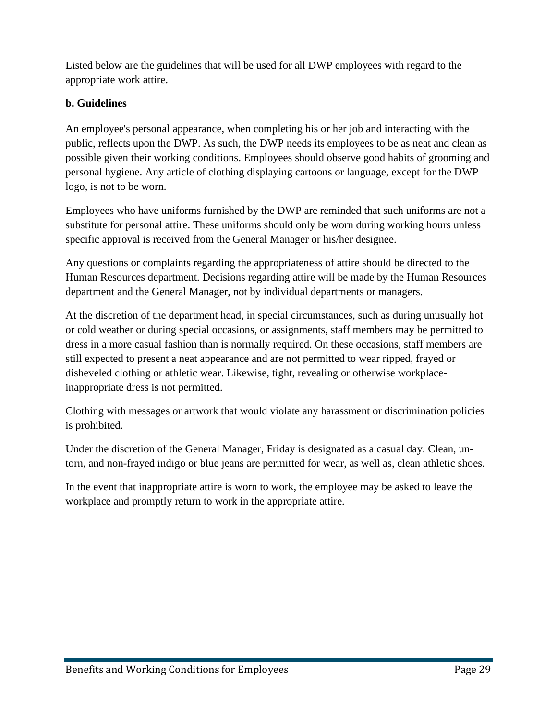Listed below are the guidelines that will be used for all DWP employees with regard to the appropriate work attire.

### <span id="page-28-0"></span>**b. Guidelines**

An employee's personal appearance, when completing his or her job and interacting with the public, reflects upon the DWP. As such, the DWP needs its employees to be as neat and clean as possible given their working conditions. Employees should observe good habits of grooming and personal hygiene. Any article of clothing displaying cartoons or language, except for the DWP logo, is not to be worn.

Employees who have uniforms furnished by the DWP are reminded that such uniforms are not a substitute for personal attire. These uniforms should only be worn during working hours unless specific approval is received from the General Manager or his/her designee.

Any questions or complaints regarding the appropriateness of attire should be directed to the Human Resources department. Decisions regarding attire will be made by the Human Resources department and the General Manager, not by individual departments or managers.

At the discretion of the department head, in special circumstances, such as during unusually hot or cold weather or during special occasions, or assignments, staff members may be permitted to dress in a more casual fashion than is normally required. On these occasions, staff members are still expected to present a neat appearance and are not permitted to wear ripped, frayed or disheveled clothing or athletic wear. Likewise, tight, revealing or otherwise workplaceinappropriate dress is not permitted.

Clothing with messages or artwork that would violate any harassment or discrimination policies is prohibited.

Under the discretion of the General Manager, Friday is designated as a casual day. Clean, untorn, and non-frayed indigo or blue jeans are permitted for wear, as well as, clean athletic shoes.

In the event that inappropriate attire is worn to work, the employee may be asked to leave the workplace and promptly return to work in the appropriate attire.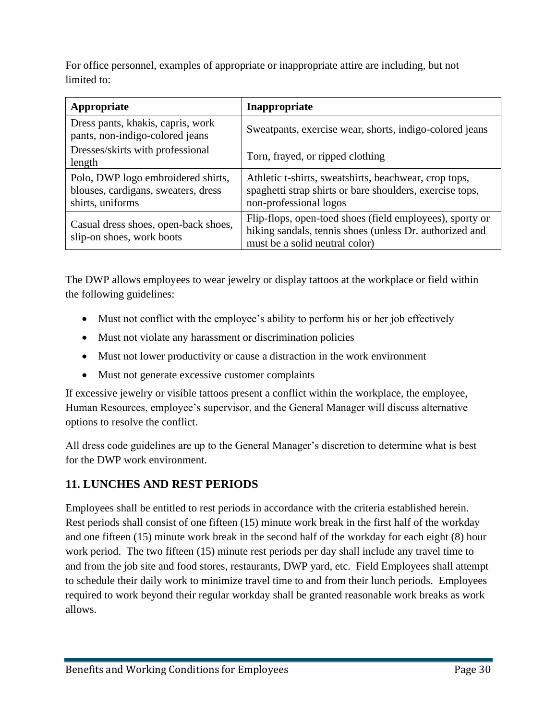For office personnel, examples of appropriate or inappropriate attire are including, but not limited to:

| Appropriate                                                                                   | Inappropriate                                                                                                                                         |
|-----------------------------------------------------------------------------------------------|-------------------------------------------------------------------------------------------------------------------------------------------------------|
| Dress pants, khakis, capris, work<br>pants, non-indigo-colored jeans                          | Sweatpants, exercise wear, shorts, indigo-colored jeans                                                                                               |
| Dresses/skirts with professional<br>length                                                    | Torn, frayed, or ripped clothing                                                                                                                      |
| Polo, DWP logo embroidered shirts,<br>blouses, cardigans, sweaters, dress<br>shirts, uniforms | Athletic t-shirts, sweatshirts, beachwear, crop tops,<br>spaghetti strap shirts or bare shoulders, exercise tops,<br>non-professional logos           |
| Casual dress shoes, open-back shoes,<br>slip-on shoes, work boots                             | Flip-flops, open-toed shoes (field employees), sporty or<br>hiking sandals, tennis shoes (unless Dr. authorized and<br>must be a solid neutral color) |

The DWP allows employees to wear jewelry or display tattoos at the workplace or field within the following guidelines:

- Must not conflict with the employee's ability to perform his or her job effectively
- Must not violate any harassment or discrimination policies
- Must not lower productivity or cause a distraction in the work environment
- Must not generate excessive customer complaints

If excessive jewelry or visible tattoos present a conflict within the workplace, the employee, Human Resources, employee's supervisor, and the General Manager will discuss alternative options to resolve the conflict.

All dress code guidelines are up to the General Manager's discretion to determine what is best for the DWP work environment.

# <span id="page-29-0"></span>**11. LUNCHES AND REST PERIODS**

Employees shall be entitled to rest periods in accordance with the criteria established herein. Rest periods shall consist of one fifteen (15) minute work break in the first half of the workday and one fifteen (15) minute work break in the second half of the workday for each eight (8) hour work period. The two fifteen (15) minute rest periods per day shall include any travel time to and from the job site and food stores, restaurants, DWP yard, etc. Field Employees shall attempt to schedule their daily work to minimize travel time to and from their lunch periods. Employees required to work beyond their regular workday shall be granted reasonable work breaks as work allows.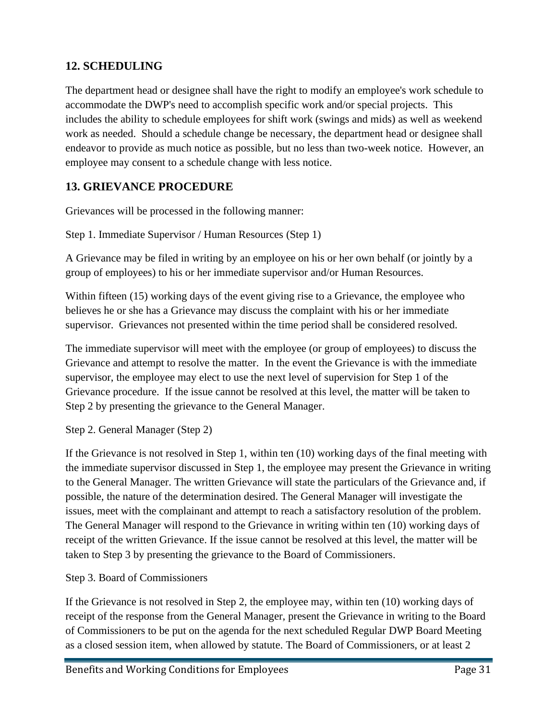# <span id="page-30-0"></span>**12. SCHEDULING**

The department head or designee shall have the right to modify an employee's work schedule to accommodate the DWP's need to accomplish specific work and/or special projects. This includes the ability to schedule employees for shift work (swings and mids) as well as weekend work as needed. Should a schedule change be necessary, the department head or designee shall endeavor to provide as much notice as possible, but no less than two-week notice. However, an employee may consent to a schedule change with less notice.

# <span id="page-30-1"></span>**13. GRIEVANCE PROCEDURE**

Grievances will be processed in the following manner:

Step 1. Immediate Supervisor / Human Resources (Step 1)

A Grievance may be filed in writing by an employee on his or her own behalf (or jointly by a group of employees) to his or her immediate supervisor and/or Human Resources.

Within fifteen (15) working days of the event giving rise to a Grievance, the employee who believes he or she has a Grievance may discuss the complaint with his or her immediate supervisor. Grievances not presented within the time period shall be considered resolved.

The immediate supervisor will meet with the employee (or group of employees) to discuss the Grievance and attempt to resolve the matter. In the event the Grievance is with the immediate supervisor, the employee may elect to use the next level of supervision for Step 1 of the Grievance procedure. If the issue cannot be resolved at this level, the matter will be taken to Step 2 by presenting the grievance to the General Manager.

Step 2. General Manager (Step 2)

If the Grievance is not resolved in Step 1, within ten (10) working days of the final meeting with the immediate supervisor discussed in Step 1, the employee may present the Grievance in writing to the General Manager. The written Grievance will state the particulars of the Grievance and, if possible, the nature of the determination desired. The General Manager will investigate the issues, meet with the complainant and attempt to reach a satisfactory resolution of the problem. The General Manager will respond to the Grievance in writing within ten (10) working days of receipt of the written Grievance. If the issue cannot be resolved at this level, the matter will be taken to Step 3 by presenting the grievance to the Board of Commissioners.

### Step 3. Board of Commissioners

If the Grievance is not resolved in Step 2, the employee may, within ten (10) working days of receipt of the response from the General Manager, present the Grievance in writing to the Board of Commissioners to be put on the agenda for the next scheduled Regular DWP Board Meeting as a closed session item, when allowed by statute. The Board of Commissioners, or at least 2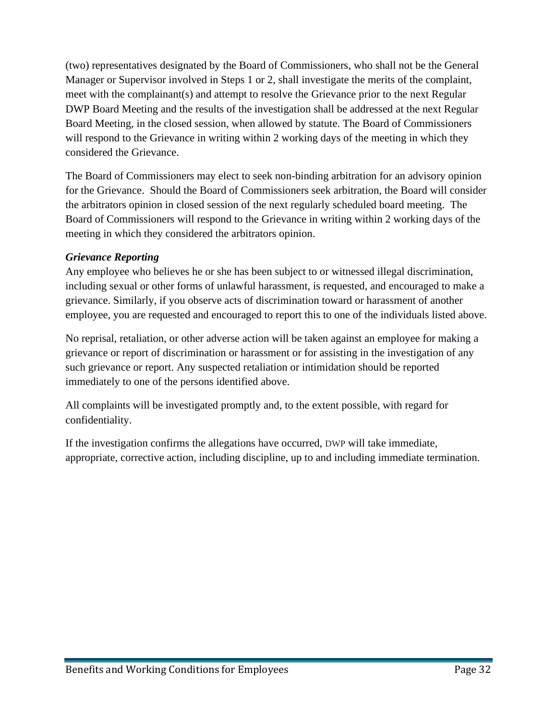(two) representatives designated by the Board of Commissioners, who shall not be the General Manager or Supervisor involved in Steps 1 or 2, shall investigate the merits of the complaint, meet with the complainant(s) and attempt to resolve the Grievance prior to the next Regular DWP Board Meeting and the results of the investigation shall be addressed at the next Regular Board Meeting, in the closed session, when allowed by statute. The Board of Commissioners will respond to the Grievance in writing within 2 working days of the meeting in which they considered the Grievance.

The Board of Commissioners may elect to seek non-binding arbitration for an advisory opinion for the Grievance. Should the Board of Commissioners seek arbitration, the Board will consider the arbitrators opinion in closed session of the next regularly scheduled board meeting. The Board of Commissioners will respond to the Grievance in writing within 2 working days of the meeting in which they considered the arbitrators opinion.

### *Grievance Reporting*

Any employee who believes he or she has been subject to or witnessed illegal discrimination, including sexual or other forms of unlawful harassment, is requested, and encouraged to make a grievance. Similarly, if you observe acts of discrimination toward or harassment of another employee, you are requested and encouraged to report this to one of the individuals listed above.

No reprisal, retaliation, or other adverse action will be taken against an employee for making a grievance or report of discrimination or harassment or for assisting in the investigation of any such grievance or report. Any suspected retaliation or intimidation should be reported immediately to one of the persons identified above.

All complaints will be investigated promptly and, to the extent possible, with regard for confidentiality.

If the investigation confirms the allegations have occurred, DWP will take immediate, appropriate, corrective action, including discipline, up to and including immediate termination.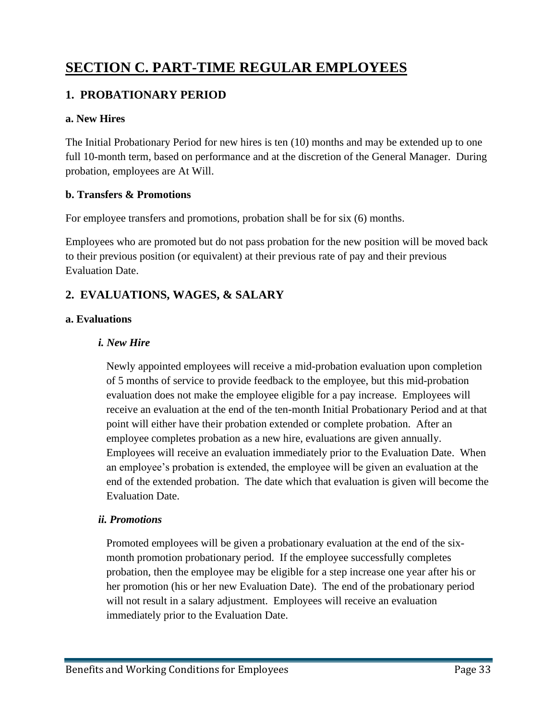# <span id="page-32-0"></span>**SECTION C. PART-TIME REGULAR EMPLOYEES**

# <span id="page-32-1"></span>**1. PROBATIONARY PERIOD**

### <span id="page-32-2"></span>**a. New Hires**

The Initial Probationary Period for new hires is ten (10) months and may be extended up to one full 10-month term, based on performance and at the discretion of the General Manager. During probation, employees are At Will.

### <span id="page-32-3"></span>**b. Transfers & Promotions**

For employee transfers and promotions, probation shall be for six (6) months.

Employees who are promoted but do not pass probation for the new position will be moved back to their previous position (or equivalent) at their previous rate of pay and their previous Evaluation Date.

# <span id="page-32-4"></span>**2. EVALUATIONS, WAGES, & SALARY**

### <span id="page-32-5"></span>**a. Evaluations**

### *i. New Hire*

Newly appointed employees will receive a mid-probation evaluation upon completion of 5 months of service to provide feedback to the employee, but this mid-probation evaluation does not make the employee eligible for a pay increase. Employees will receive an evaluation at the end of the ten-month Initial Probationary Period and at that point will either have their probation extended or complete probation. After an employee completes probation as a new hire, evaluations are given annually. Employees will receive an evaluation immediately prior to the Evaluation Date. When an employee's probation is extended, the employee will be given an evaluation at the end of the extended probation. The date which that evaluation is given will become the Evaluation Date.

### *ii. Promotions*

Promoted employees will be given a probationary evaluation at the end of the sixmonth promotion probationary period. If the employee successfully completes probation, then the employee may be eligible for a step increase one year after his or her promotion (his or her new Evaluation Date). The end of the probationary period will not result in a salary adjustment. Employees will receive an evaluation immediately prior to the Evaluation Date.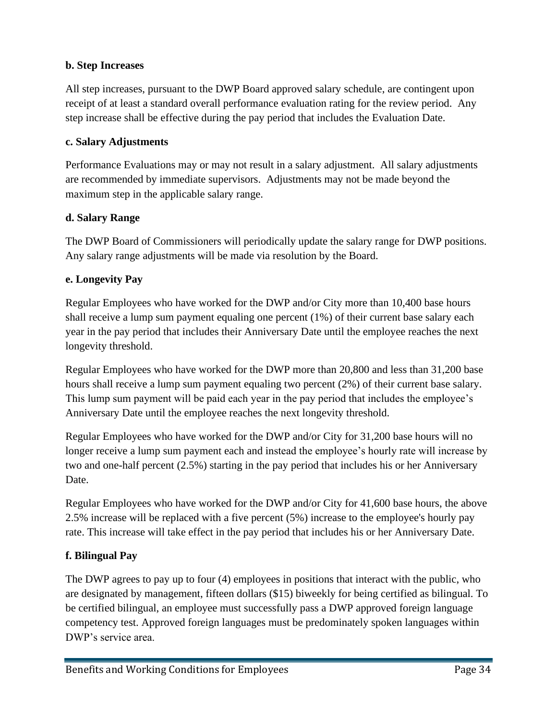### <span id="page-33-0"></span>**b. Step Increases**

All step increases, pursuant to the DWP Board approved salary schedule, are contingent upon receipt of at least a standard overall performance evaluation rating for the review period. Any step increase shall be effective during the pay period that includes the Evaluation Date.

### <span id="page-33-1"></span>**c. Salary Adjustments**

Performance Evaluations may or may not result in a salary adjustment. All salary adjustments are recommended by immediate supervisors. Adjustments may not be made beyond the maximum step in the applicable salary range.

### <span id="page-33-2"></span>**d. Salary Range**

The DWP Board of Commissioners will periodically update the salary range for DWP positions. Any salary range adjustments will be made via resolution by the Board.

### <span id="page-33-3"></span>**e. Longevity Pay**

Regular Employees who have worked for the DWP and/or City more than 10,400 base hours shall receive a lump sum payment equaling one percent (1%) of their current base salary each year in the pay period that includes their Anniversary Date until the employee reaches the next longevity threshold.

Regular Employees who have worked for the DWP more than 20,800 and less than 31,200 base hours shall receive a lump sum payment equaling two percent (2%) of their current base salary. This lump sum payment will be paid each year in the pay period that includes the employee's Anniversary Date until the employee reaches the next longevity threshold.

Regular Employees who have worked for the DWP and/or City for 31,200 base hours will no longer receive a lump sum payment each and instead the employee's hourly rate will increase by two and one-half percent (2.5%) starting in the pay period that includes his or her Anniversary Date.

Regular Employees who have worked for the DWP and/or City for 41,600 base hours, the above 2.5% increase will be replaced with a five percent (5%) increase to the employee's hourly pay rate. This increase will take effect in the pay period that includes his or her Anniversary Date.

### <span id="page-33-4"></span>**f. Bilingual Pay**

The DWP agrees to pay up to four (4) employees in positions that interact with the public, who are designated by management, fifteen dollars (\$15) biweekly for being certified as bilingual. To be certified bilingual, an employee must successfully pass a DWP approved foreign language competency test. Approved foreign languages must be predominately spoken languages within DWP's service area.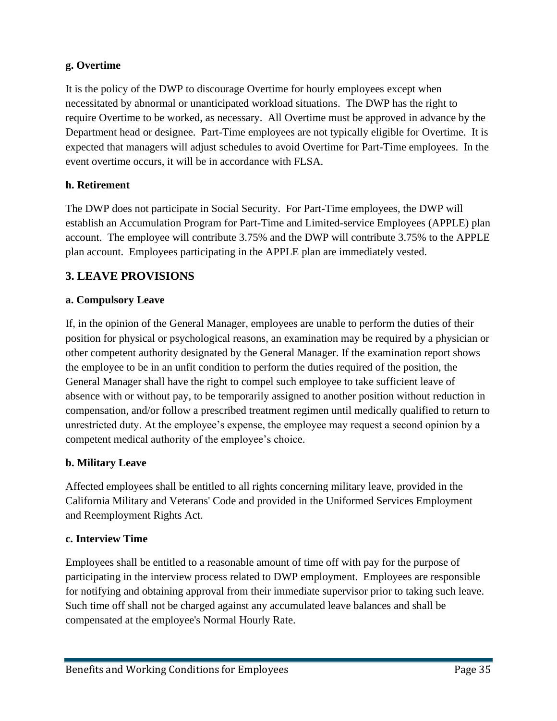### <span id="page-34-0"></span>**g. Overtime**

It is the policy of the DWP to discourage Overtime for hourly employees except when necessitated by abnormal or unanticipated workload situations. The DWP has the right to require Overtime to be worked, as necessary. All Overtime must be approved in advance by the Department head or designee. Part-Time employees are not typically eligible for Overtime. It is expected that managers will adjust schedules to avoid Overtime for Part-Time employees. In the event overtime occurs, it will be in accordance with FLSA.

### <span id="page-34-1"></span>**h. Retirement**

The DWP does not participate in Social Security. For Part-Time employees, the DWP will establish an Accumulation Program for Part-Time and Limited-service Employees (APPLE) plan account. The employee will contribute 3.75% and the DWP will contribute 3.75% to the APPLE plan account. Employees participating in the APPLE plan are immediately vested.

### <span id="page-34-2"></span>**3. LEAVE PROVISIONS**

### <span id="page-34-3"></span>**a. Compulsory Leave**

If, in the opinion of the General Manager, employees are unable to perform the duties of their position for physical or psychological reasons, an examination may be required by a physician or other competent authority designated by the General Manager. If the examination report shows the employee to be in an unfit condition to perform the duties required of the position, the General Manager shall have the right to compel such employee to take sufficient leave of absence with or without pay, to be temporarily assigned to another position without reduction in compensation, and/or follow a prescribed treatment regimen until medically qualified to return to unrestricted duty. At the employee's expense, the employee may request a second opinion by a competent medical authority of the employee's choice.

### <span id="page-34-4"></span>**b. Military Leave**

Affected employees shall be entitled to all rights concerning military leave, provided in the California Military and Veterans' Code and provided in the Uniformed Services Employment and Reemployment Rights Act.

#### <span id="page-34-5"></span>**c. Interview Time**

Employees shall be entitled to a reasonable amount of time off with pay for the purpose of participating in the interview process related to DWP employment. Employees are responsible for notifying and obtaining approval from their immediate supervisor prior to taking such leave. Such time off shall not be charged against any accumulated leave balances and shall be compensated at the employee's Normal Hourly Rate.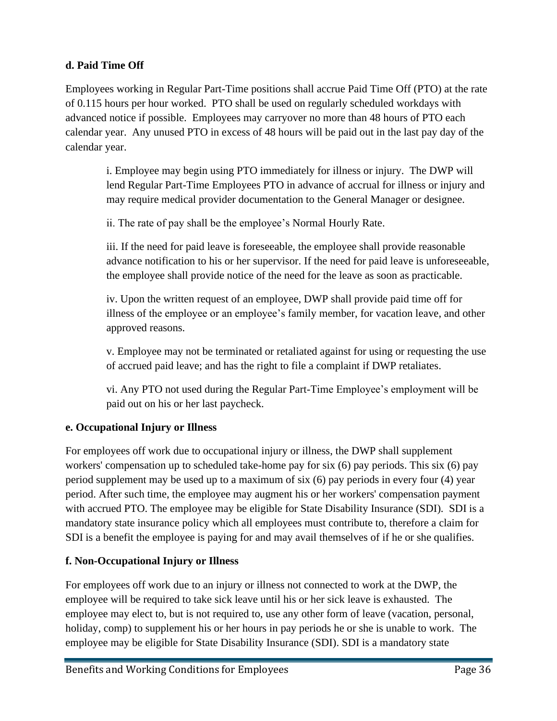### <span id="page-35-0"></span>**d. Paid Time Off**

Employees working in Regular Part-Time positions shall accrue Paid Time Off (PTO) at the rate of 0.115 hours per hour worked. PTO shall be used on regularly scheduled workdays with advanced notice if possible. Employees may carryover no more than 48 hours of PTO each calendar year. Any unused PTO in excess of 48 hours will be paid out in the last pay day of the calendar year.

i. Employee may begin using PTO immediately for illness or injury. The DWP will lend Regular Part-Time Employees PTO in advance of accrual for illness or injury and may require medical provider documentation to the General Manager or designee.

ii. The rate of pay shall be the employee's Normal Hourly Rate.

iii. If the need for paid leave is foreseeable, the employee shall provide reasonable advance notification to his or her supervisor. If the need for paid leave is unforeseeable, the employee shall provide notice of the need for the leave as soon as practicable.

iv. Upon the written request of an employee, DWP shall provide paid time off for illness of the employee or an employee's family member, for vacation leave, and other approved reasons.

v. Employee may not be terminated or retaliated against for using or requesting the use of accrued paid leave; and has the right to file a complaint if DWP retaliates.

vi. Any PTO not used during the Regular Part-Time Employee's employment will be paid out on his or her last paycheck.

### <span id="page-35-1"></span>**e. Occupational Injury or Illness**

For employees off work due to occupational injury or illness, the DWP shall supplement workers' compensation up to scheduled take-home pay for six (6) pay periods. This six (6) pay period supplement may be used up to a maximum of six (6) pay periods in every four (4) year period. After such time, the employee may augment his or her workers' compensation payment with accrued PTO. The employee may be eligible for State Disability Insurance (SDI). SDI is a mandatory state insurance policy which all employees must contribute to, therefore a claim for SDI is a benefit the employee is paying for and may avail themselves of if he or she qualifies.

### <span id="page-35-2"></span>**f. Non-Occupational Injury or Illness**

For employees off work due to an injury or illness not connected to work at the DWP, the employee will be required to take sick leave until his or her sick leave is exhausted. The employee may elect to, but is not required to, use any other form of leave (vacation, personal, holiday, comp) to supplement his or her hours in pay periods he or she is unable to work. The employee may be eligible for State Disability Insurance (SDI). SDI is a mandatory state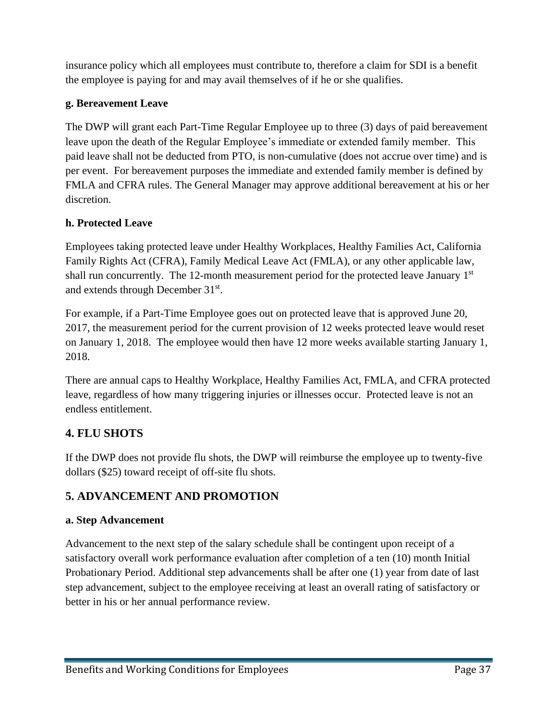insurance policy which all employees must contribute to, therefore a claim for SDI is a benefit the employee is paying for and may avail themselves of if he or she qualifies.

### <span id="page-36-0"></span>**g. Bereavement Leave**

The DWP will grant each Part-Time Regular Employee up to three (3) days of paid bereavement leave upon the death of the Regular Employee's immediate or extended family member. This paid leave shall not be deducted from PTO, is non-cumulative (does not accrue over time) and is per event. For bereavement purposes the immediate and extended family member is defined by FMLA and CFRA rules. The General Manager may approve additional bereavement at his or her discretion.

### <span id="page-36-1"></span>**h. Protected Leave**

Employees taking protected leave under Healthy Workplaces, Healthy Families Act, California Family Rights Act (CFRA), Family Medical Leave Act (FMLA), or any other applicable law, shall run concurrently. The 12-month measurement period for the protected leave January 1<sup>st</sup> and extends through December 31<sup>st</sup>.

For example, if a Part-Time Employee goes out on protected leave that is approved June 20, 2017, the measurement period for the current provision of 12 weeks protected leave would reset on January 1, 2018. The employee would then have 12 more weeks available starting January 1, 2018.

There are annual caps to Healthy Workplace, Healthy Families Act, FMLA, and CFRA protected leave, regardless of how many triggering injuries or illnesses occur. Protected leave is not an endless entitlement.

# <span id="page-36-2"></span>**4. FLU SHOTS**

If the DWP does not provide flu shots, the DWP will reimburse the employee up to twenty-five dollars (\$25) toward receipt of off-site flu shots.

# <span id="page-36-3"></span>**5. ADVANCEMENT AND PROMOTION**

### <span id="page-36-4"></span>**a. Step Advancement**

Advancement to the next step of the salary schedule shall be contingent upon receipt of a satisfactory overall work performance evaluation after completion of a ten (10) month Initial Probationary Period. Additional step advancements shall be after one (1) year from date of last step advancement, subject to the employee receiving at least an overall rating of satisfactory or better in his or her annual performance review.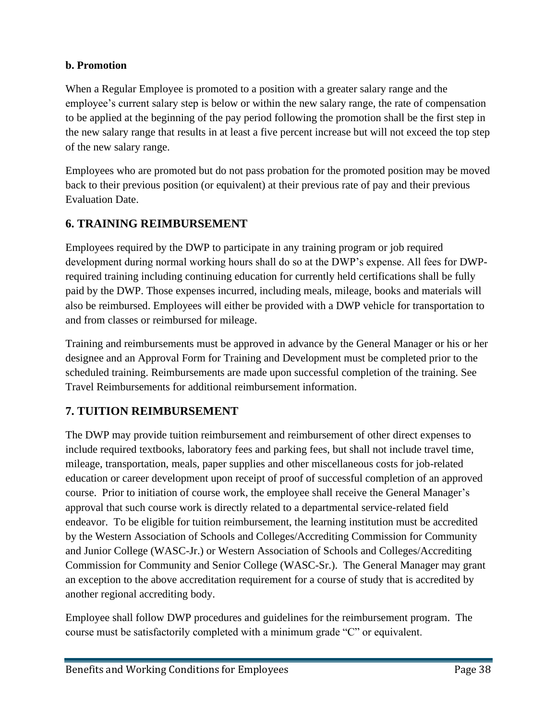### <span id="page-37-0"></span>**b. Promotion**

When a Regular Employee is promoted to a position with a greater salary range and the employee's current salary step is below or within the new salary range, the rate of compensation to be applied at the beginning of the pay period following the promotion shall be the first step in the new salary range that results in at least a five percent increase but will not exceed the top step of the new salary range.

Employees who are promoted but do not pass probation for the promoted position may be moved back to their previous position (or equivalent) at their previous rate of pay and their previous Evaluation Date.

# <span id="page-37-1"></span>**6. TRAINING REIMBURSEMENT**

Employees required by the DWP to participate in any training program or job required development during normal working hours shall do so at the DWP's expense. All fees for DWPrequired training including continuing education for currently held certifications shall be fully paid by the DWP. Those expenses incurred, including meals, mileage, books and materials will also be reimbursed. Employees will either be provided with a DWP vehicle for transportation to and from classes or reimbursed for mileage.

Training and reimbursements must be approved in advance by the General Manager or his or her designee and an Approval Form for Training and Development must be completed prior to the scheduled training. Reimbursements are made upon successful completion of the training. See Travel Reimbursements for additional reimbursement information.

# <span id="page-37-2"></span>**7. TUITION REIMBURSEMENT**

The DWP may provide tuition reimbursement and reimbursement of other direct expenses to include required textbooks, laboratory fees and parking fees, but shall not include travel time, mileage, transportation, meals, paper supplies and other miscellaneous costs for job-related education or career development upon receipt of proof of successful completion of an approved course. Prior to initiation of course work, the employee shall receive the General Manager's approval that such course work is directly related to a departmental service-related field endeavor. To be eligible for tuition reimbursement, the learning institution must be accredited by the Western Association of Schools and Colleges/Accrediting Commission for Community and Junior College (WASC-Jr.) or Western Association of Schools and Colleges/Accrediting Commission for Community and Senior College (WASC-Sr.). The General Manager may grant an exception to the above accreditation requirement for a course of study that is accredited by another regional accrediting body.

Employee shall follow DWP procedures and guidelines for the reimbursement program. The course must be satisfactorily completed with a minimum grade "C" or equivalent.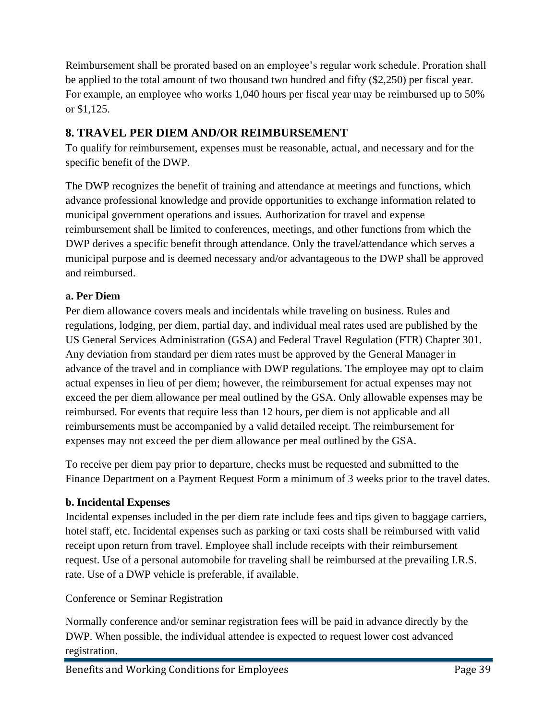Reimbursement shall be prorated based on an employee's regular work schedule. Proration shall be applied to the total amount of two thousand two hundred and fifty (\$2,250) per fiscal year. For example, an employee who works 1,040 hours per fiscal year may be reimbursed up to 50% or \$1,125.

# <span id="page-38-0"></span>**8. TRAVEL PER DIEM AND/OR REIMBURSEMENT**

To qualify for reimbursement, expenses must be reasonable, actual, and necessary and for the specific benefit of the DWP.

The DWP recognizes the benefit of training and attendance at meetings and functions, which advance professional knowledge and provide opportunities to exchange information related to municipal government operations and issues. Authorization for travel and expense reimbursement shall be limited to conferences, meetings, and other functions from which the DWP derives a specific benefit through attendance. Only the travel/attendance which serves a municipal purpose and is deemed necessary and/or advantageous to the DWP shall be approved and reimbursed.

### <span id="page-38-1"></span>**a. Per Diem**

Per diem allowance covers meals and incidentals while traveling on business. Rules and regulations, lodging, per diem, partial day, and individual meal rates used are published by the US General Services Administration (GSA) and Federal Travel Regulation (FTR) Chapter 301. Any deviation from standard per diem rates must be approved by the General Manager in advance of the travel and in compliance with DWP regulations. The employee may opt to claim actual expenses in lieu of per diem; however, the reimbursement for actual expenses may not exceed the per diem allowance per meal outlined by the GSA. Only allowable expenses may be reimbursed. For events that require less than 12 hours, per diem is not applicable and all reimbursements must be accompanied by a valid detailed receipt. The reimbursement for expenses may not exceed the per diem allowance per meal outlined by the GSA.

To receive per diem pay prior to departure, checks must be requested and submitted to the Finance Department on a Payment Request Form a minimum of 3 weeks prior to the travel dates.

### <span id="page-38-2"></span>**b. Incidental Expenses**

Incidental expenses included in the per diem rate include fees and tips given to baggage carriers, hotel staff, etc. Incidental expenses such as parking or taxi costs shall be reimbursed with valid receipt upon return from travel. Employee shall include receipts with their reimbursement request. Use of a personal automobile for traveling shall be reimbursed at the prevailing I.R.S. rate. Use of a DWP vehicle is preferable, if available.

Conference or Seminar Registration

Normally conference and/or seminar registration fees will be paid in advance directly by the DWP. When possible, the individual attendee is expected to request lower cost advanced registration.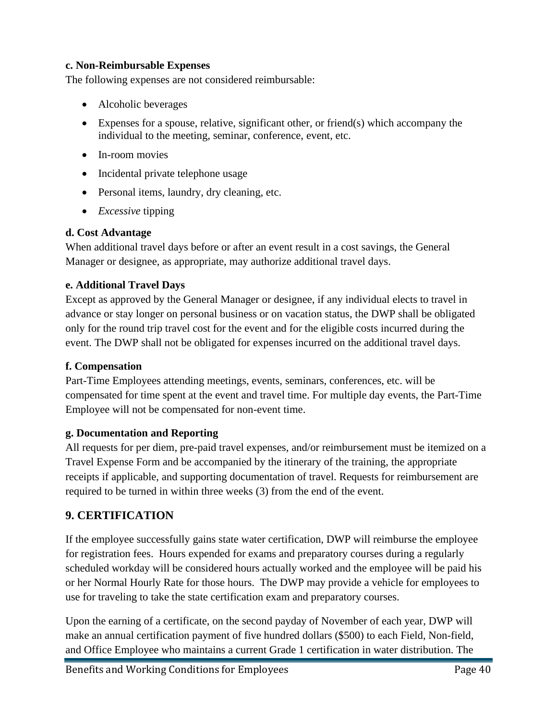### <span id="page-39-0"></span>**c. Non-Reimbursable Expenses**

The following expenses are not considered reimbursable:

- Alcoholic beverages
- Expenses for a spouse, relative, significant other, or friend(s) which accompany the individual to the meeting, seminar, conference, event, etc.
- In-room movies
- Incidental private telephone usage
- Personal items, laundry, dry cleaning, etc.
- *Excessive* tipping

### <span id="page-39-1"></span>**d. Cost Advantage**

When additional travel days before or after an event result in a cost savings, the General Manager or designee, as appropriate, may authorize additional travel days.

### <span id="page-39-2"></span>**e. Additional Travel Days**

Except as approved by the General Manager or designee, if any individual elects to travel in advance or stay longer on personal business or on vacation status, the DWP shall be obligated only for the round trip travel cost for the event and for the eligible costs incurred during the event. The DWP shall not be obligated for expenses incurred on the additional travel days.

### <span id="page-39-3"></span>**f. Compensation**

Part-Time Employees attending meetings, events, seminars, conferences, etc. will be compensated for time spent at the event and travel time. For multiple day events, the Part-Time Employee will not be compensated for non-event time.

### <span id="page-39-4"></span>**g. Documentation and Reporting**

All requests for per diem, pre-paid travel expenses, and/or reimbursement must be itemized on a Travel Expense Form and be accompanied by the itinerary of the training, the appropriate receipts if applicable, and supporting documentation of travel. Requests for reimbursement are required to be turned in within three weeks (3) from the end of the event.

### <span id="page-39-5"></span>**9. CERTIFICATION**

If the employee successfully gains state water certification, DWP will reimburse the employee for registration fees. Hours expended for exams and preparatory courses during a regularly scheduled workday will be considered hours actually worked and the employee will be paid his or her Normal Hourly Rate for those hours. The DWP may provide a vehicle for employees to use for traveling to take the state certification exam and preparatory courses.

Upon the earning of a certificate, on the second payday of November of each year, DWP will make an annual certification payment of five hundred dollars (\$500) to each Field, Non-field, and Office Employee who maintains a current Grade 1 certification in water distribution. The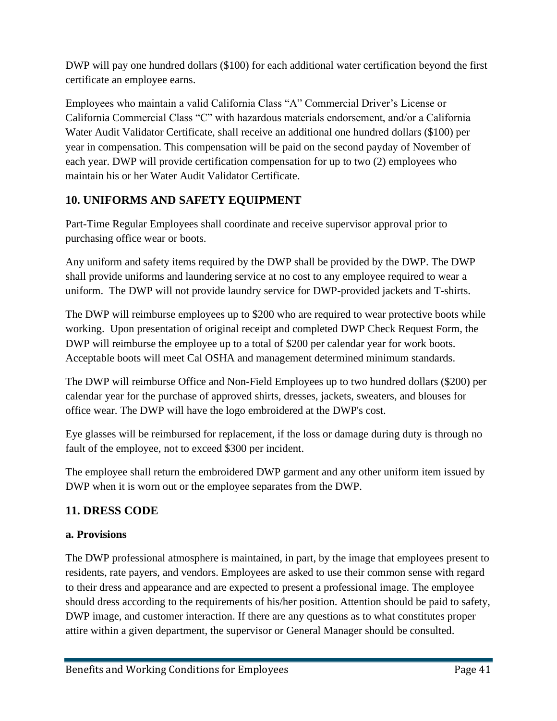DWP will pay one hundred dollars (\$100) for each additional water certification beyond the first certificate an employee earns.

Employees who maintain a valid California Class "A" Commercial Driver's License or California Commercial Class "C" with hazardous materials endorsement, and/or a California Water Audit Validator Certificate, shall receive an additional one hundred dollars (\$100) per year in compensation. This compensation will be paid on the second payday of November of each year. DWP will provide certification compensation for up to two (2) employees who maintain his or her Water Audit Validator Certificate.

# <span id="page-40-0"></span>**10. UNIFORMS AND SAFETY EQUIPMENT**

Part-Time Regular Employees shall coordinate and receive supervisor approval prior to purchasing office wear or boots.

Any uniform and safety items required by the DWP shall be provided by the DWP. The DWP shall provide uniforms and laundering service at no cost to any employee required to wear a uniform. The DWP will not provide laundry service for DWP-provided jackets and T-shirts.

The DWP will reimburse employees up to \$200 who are required to wear protective boots while working. Upon presentation of original receipt and completed DWP Check Request Form, the DWP will reimburse the employee up to a total of \$200 per calendar year for work boots. Acceptable boots will meet Cal OSHA and management determined minimum standards.

The DWP will reimburse Office and Non-Field Employees up to two hundred dollars (\$200) per calendar year for the purchase of approved shirts, dresses, jackets, sweaters, and blouses for office wear. The DWP will have the logo embroidered at the DWP's cost.

Eye glasses will be reimbursed for replacement, if the loss or damage during duty is through no fault of the employee, not to exceed \$300 per incident.

The employee shall return the embroidered DWP garment and any other uniform item issued by DWP when it is worn out or the employee separates from the DWP.

# <span id="page-40-1"></span>**11. DRESS CODE**

### <span id="page-40-2"></span>**a. Provisions**

The DWP professional atmosphere is maintained, in part, by the image that employees present to residents, rate payers, and vendors. Employees are asked to use their common sense with regard to their dress and appearance and are expected to present a professional image. The employee should dress according to the requirements of his/her position. Attention should be paid to safety, DWP image, and customer interaction. If there are any questions as to what constitutes proper attire within a given department, the supervisor or General Manager should be consulted.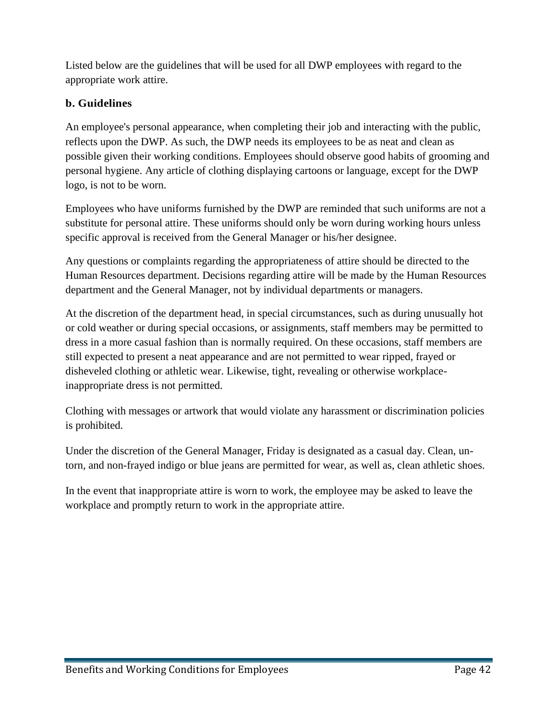Listed below are the guidelines that will be used for all DWP employees with regard to the appropriate work attire.

### <span id="page-41-0"></span>**b. Guidelines**

An employee's personal appearance, when completing their job and interacting with the public, reflects upon the DWP. As such, the DWP needs its employees to be as neat and clean as possible given their working conditions. Employees should observe good habits of grooming and personal hygiene. Any article of clothing displaying cartoons or language, except for the DWP logo, is not to be worn.

Employees who have uniforms furnished by the DWP are reminded that such uniforms are not a substitute for personal attire. These uniforms should only be worn during working hours unless specific approval is received from the General Manager or his/her designee.

Any questions or complaints regarding the appropriateness of attire should be directed to the Human Resources department. Decisions regarding attire will be made by the Human Resources department and the General Manager, not by individual departments or managers.

At the discretion of the department head, in special circumstances, such as during unusually hot or cold weather or during special occasions, or assignments, staff members may be permitted to dress in a more casual fashion than is normally required. On these occasions, staff members are still expected to present a neat appearance and are not permitted to wear ripped, frayed or disheveled clothing or athletic wear. Likewise, tight, revealing or otherwise workplaceinappropriate dress is not permitted.

Clothing with messages or artwork that would violate any harassment or discrimination policies is prohibited.

Under the discretion of the General Manager, Friday is designated as a casual day. Clean, untorn, and non-frayed indigo or blue jeans are permitted for wear, as well as, clean athletic shoes.

In the event that inappropriate attire is worn to work, the employee may be asked to leave the workplace and promptly return to work in the appropriate attire.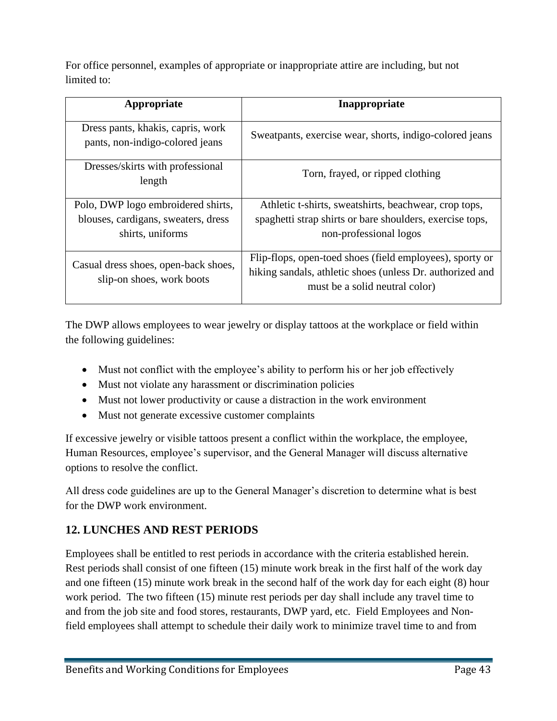For office personnel, examples of appropriate or inappropriate attire are including, but not limited to:

| Appropriate                                                          | Inappropriate                                             |
|----------------------------------------------------------------------|-----------------------------------------------------------|
| Dress pants, khakis, capris, work<br>pants, non-indigo-colored jeans | Sweatpants, exercise wear, shorts, indigo-colored jeans   |
| Dresses/skirts with professional<br>length                           | Torn, frayed, or ripped clothing                          |
| Polo, DWP logo embroidered shirts,                                   | Athletic t-shirts, sweatshirts, beachwear, crop tops,     |
| blouses, cardigans, sweaters, dress                                  | spaghetti strap shirts or bare shoulders, exercise tops,  |
| shirts, uniforms                                                     | non-professional logos                                    |
| Casual dress shoes, open-back shoes,<br>slip-on shoes, work boots    | Flip-flops, open-toed shoes (field employees), sporty or  |
|                                                                      | hiking sandals, athletic shoes (unless Dr. authorized and |
|                                                                      | must be a solid neutral color)                            |

The DWP allows employees to wear jewelry or display tattoos at the workplace or field within the following guidelines:

- Must not conflict with the employee's ability to perform his or her job effectively
- Must not violate any harassment or discrimination policies
- Must not lower productivity or cause a distraction in the work environment
- Must not generate excessive customer complaints

If excessive jewelry or visible tattoos present a conflict within the workplace, the employee, Human Resources, employee's supervisor, and the General Manager will discuss alternative options to resolve the conflict.

All dress code guidelines are up to the General Manager's discretion to determine what is best for the DWP work environment.

# <span id="page-42-0"></span>**12. LUNCHES AND REST PERIODS**

Employees shall be entitled to rest periods in accordance with the criteria established herein. Rest periods shall consist of one fifteen (15) minute work break in the first half of the work day and one fifteen (15) minute work break in the second half of the work day for each eight (8) hour work period. The two fifteen (15) minute rest periods per day shall include any travel time to and from the job site and food stores, restaurants, DWP yard, etc. Field Employees and Nonfield employees shall attempt to schedule their daily work to minimize travel time to and from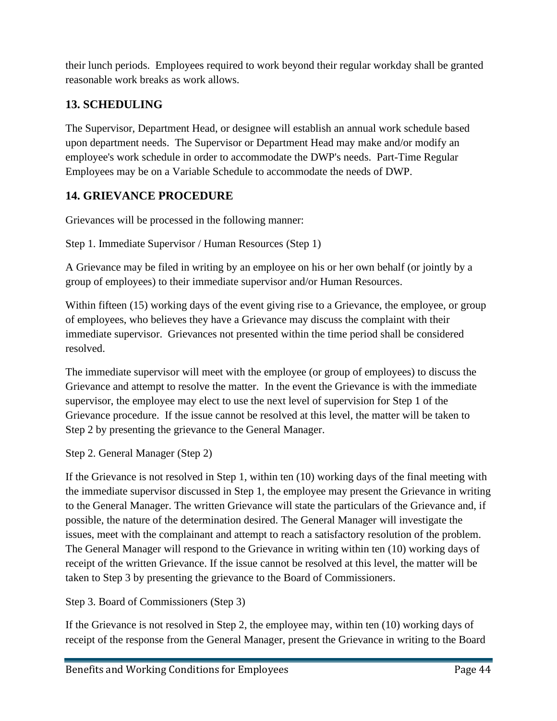their lunch periods. Employees required to work beyond their regular workday shall be granted reasonable work breaks as work allows.

# <span id="page-43-0"></span>**13. SCHEDULING**

The Supervisor, Department Head, or designee will establish an annual work schedule based upon department needs. The Supervisor or Department Head may make and/or modify an employee's work schedule in order to accommodate the DWP's needs. Part-Time Regular Employees may be on a Variable Schedule to accommodate the needs of DWP.

# <span id="page-43-1"></span>**14. GRIEVANCE PROCEDURE**

Grievances will be processed in the following manner:

Step 1. Immediate Supervisor / Human Resources (Step 1)

A Grievance may be filed in writing by an employee on his or her own behalf (or jointly by a group of employees) to their immediate supervisor and/or Human Resources.

Within fifteen (15) working days of the event giving rise to a Grievance, the employee, or group of employees, who believes they have a Grievance may discuss the complaint with their immediate supervisor. Grievances not presented within the time period shall be considered resolved.

The immediate supervisor will meet with the employee (or group of employees) to discuss the Grievance and attempt to resolve the matter. In the event the Grievance is with the immediate supervisor, the employee may elect to use the next level of supervision for Step 1 of the Grievance procedure. If the issue cannot be resolved at this level, the matter will be taken to Step 2 by presenting the grievance to the General Manager.

Step 2. General Manager (Step 2)

If the Grievance is not resolved in Step 1, within ten (10) working days of the final meeting with the immediate supervisor discussed in Step 1, the employee may present the Grievance in writing to the General Manager. The written Grievance will state the particulars of the Grievance and, if possible, the nature of the determination desired. The General Manager will investigate the issues, meet with the complainant and attempt to reach a satisfactory resolution of the problem. The General Manager will respond to the Grievance in writing within ten (10) working days of receipt of the written Grievance. If the issue cannot be resolved at this level, the matter will be taken to Step 3 by presenting the grievance to the Board of Commissioners.

Step 3. Board of Commissioners (Step 3)

If the Grievance is not resolved in Step 2, the employee may, within ten (10) working days of receipt of the response from the General Manager, present the Grievance in writing to the Board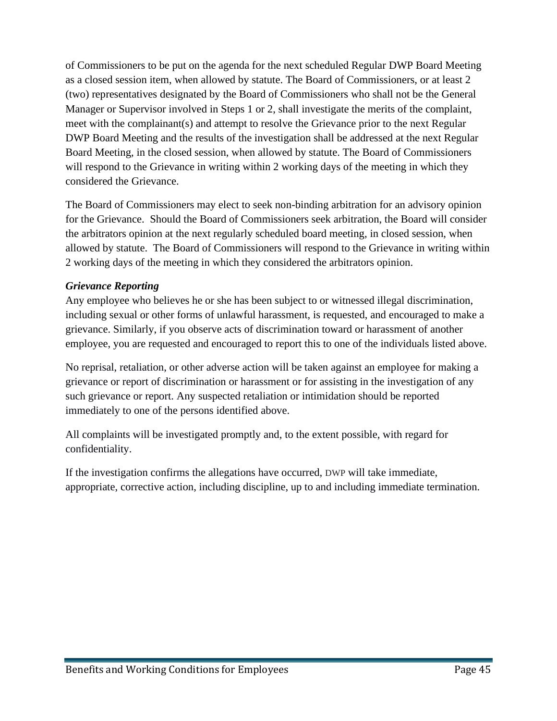of Commissioners to be put on the agenda for the next scheduled Regular DWP Board Meeting as a closed session item, when allowed by statute. The Board of Commissioners, or at least 2 (two) representatives designated by the Board of Commissioners who shall not be the General Manager or Supervisor involved in Steps 1 or 2, shall investigate the merits of the complaint, meet with the complainant(s) and attempt to resolve the Grievance prior to the next Regular DWP Board Meeting and the results of the investigation shall be addressed at the next Regular Board Meeting, in the closed session, when allowed by statute. The Board of Commissioners will respond to the Grievance in writing within 2 working days of the meeting in which they considered the Grievance.

The Board of Commissioners may elect to seek non-binding arbitration for an advisory opinion for the Grievance. Should the Board of Commissioners seek arbitration, the Board will consider the arbitrators opinion at the next regularly scheduled board meeting, in closed session, when allowed by statute. The Board of Commissioners will respond to the Grievance in writing within 2 working days of the meeting in which they considered the arbitrators opinion.

### *Grievance Reporting*

Any employee who believes he or she has been subject to or witnessed illegal discrimination, including sexual or other forms of unlawful harassment, is requested, and encouraged to make a grievance. Similarly, if you observe acts of discrimination toward or harassment of another employee, you are requested and encouraged to report this to one of the individuals listed above.

No reprisal, retaliation, or other adverse action will be taken against an employee for making a grievance or report of discrimination or harassment or for assisting in the investigation of any such grievance or report. Any suspected retaliation or intimidation should be reported immediately to one of the persons identified above.

All complaints will be investigated promptly and, to the extent possible, with regard for confidentiality.

If the investigation confirms the allegations have occurred, DWP will take immediate, appropriate, corrective action, including discipline, up to and including immediate termination.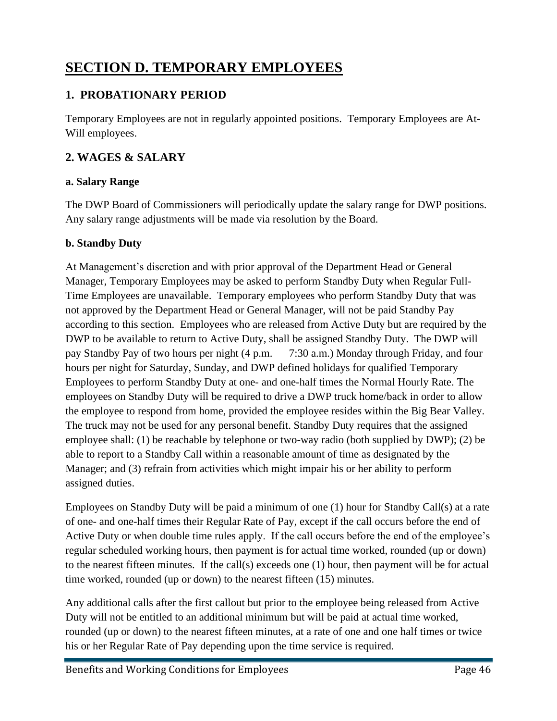# <span id="page-45-0"></span>**SECTION D. TEMPORARY EMPLOYEES**

# <span id="page-45-1"></span>**1. PROBATIONARY PERIOD**

Temporary Employees are not in regularly appointed positions. Temporary Employees are At-Will employees.

# <span id="page-45-2"></span>**2. WAGES & SALARY**

### <span id="page-45-3"></span>**a. Salary Range**

The DWP Board of Commissioners will periodically update the salary range for DWP positions. Any salary range adjustments will be made via resolution by the Board.

### <span id="page-45-4"></span>**b. Standby Duty**

At Management's discretion and with prior approval of the Department Head or General Manager, Temporary Employees may be asked to perform Standby Duty when Regular Full-Time Employees are unavailable. Temporary employees who perform Standby Duty that was not approved by the Department Head or General Manager, will not be paid Standby Pay according to this section. Employees who are released from Active Duty but are required by the DWP to be available to return to Active Duty, shall be assigned Standby Duty. The DWP will pay Standby Pay of two hours per night (4 p.m. — 7:30 a.m.) Monday through Friday, and four hours per night for Saturday, Sunday, and DWP defined holidays for qualified Temporary Employees to perform Standby Duty at one- and one-half times the Normal Hourly Rate. The employees on Standby Duty will be required to drive a DWP truck home/back in order to allow the employee to respond from home, provided the employee resides within the Big Bear Valley. The truck may not be used for any personal benefit. Standby Duty requires that the assigned employee shall: (1) be reachable by telephone or two-way radio (both supplied by DWP); (2) be able to report to a Standby Call within a reasonable amount of time as designated by the Manager; and (3) refrain from activities which might impair his or her ability to perform assigned duties.

Employees on Standby Duty will be paid a minimum of one (1) hour for Standby Call(s) at a rate of one- and one-half times their Regular Rate of Pay, except if the call occurs before the end of Active Duty or when double time rules apply. If the call occurs before the end of the employee's regular scheduled working hours, then payment is for actual time worked, rounded (up or down) to the nearest fifteen minutes. If the call(s) exceeds one (1) hour, then payment will be for actual time worked, rounded (up or down) to the nearest fifteen (15) minutes.

Any additional calls after the first callout but prior to the employee being released from Active Duty will not be entitled to an additional minimum but will be paid at actual time worked, rounded (up or down) to the nearest fifteen minutes, at a rate of one and one half times or twice his or her Regular Rate of Pay depending upon the time service is required.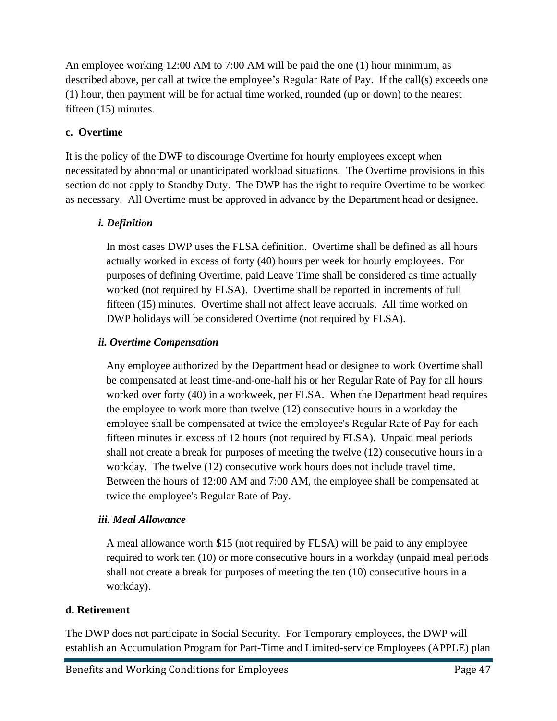An employee working 12:00 AM to 7:00 AM will be paid the one (1) hour minimum, as described above, per call at twice the employee's Regular Rate of Pay. If the call(s) exceeds one (1) hour, then payment will be for actual time worked, rounded (up or down) to the nearest fifteen (15) minutes.

### <span id="page-46-0"></span>**c. Overtime**

It is the policy of the DWP to discourage Overtime for hourly employees except when necessitated by abnormal or unanticipated workload situations. The Overtime provisions in this section do not apply to Standby Duty. The DWP has the right to require Overtime to be worked as necessary. All Overtime must be approved in advance by the Department head or designee.

### *i. Definition*

In most cases DWP uses the FLSA definition. Overtime shall be defined as all hours actually worked in excess of forty (40) hours per week for hourly employees. For purposes of defining Overtime, paid Leave Time shall be considered as time actually worked (not required by FLSA). Overtime shall be reported in increments of full fifteen (15) minutes. Overtime shall not affect leave accruals. All time worked on DWP holidays will be considered Overtime (not required by FLSA).

### *ii. Overtime Compensation*

Any employee authorized by the Department head or designee to work Overtime shall be compensated at least time-and-one-half his or her Regular Rate of Pay for all hours worked over forty (40) in a workweek, per FLSA. When the Department head requires the employee to work more than twelve (12) consecutive hours in a workday the employee shall be compensated at twice the employee's Regular Rate of Pay for each fifteen minutes in excess of 12 hours (not required by FLSA). Unpaid meal periods shall not create a break for purposes of meeting the twelve (12) consecutive hours in a workday. The twelve (12) consecutive work hours does not include travel time. Between the hours of 12:00 AM and 7:00 AM, the employee shall be compensated at twice the employee's Regular Rate of Pay.

### *iii. Meal Allowance*

A meal allowance worth \$15 (not required by FLSA) will be paid to any employee required to work ten (10) or more consecutive hours in a workday (unpaid meal periods shall not create a break for purposes of meeting the ten (10) consecutive hours in a workday).

### <span id="page-46-1"></span>**d. Retirement**

The DWP does not participate in Social Security. For Temporary employees, the DWP will establish an Accumulation Program for Part-Time and Limited-service Employees (APPLE) plan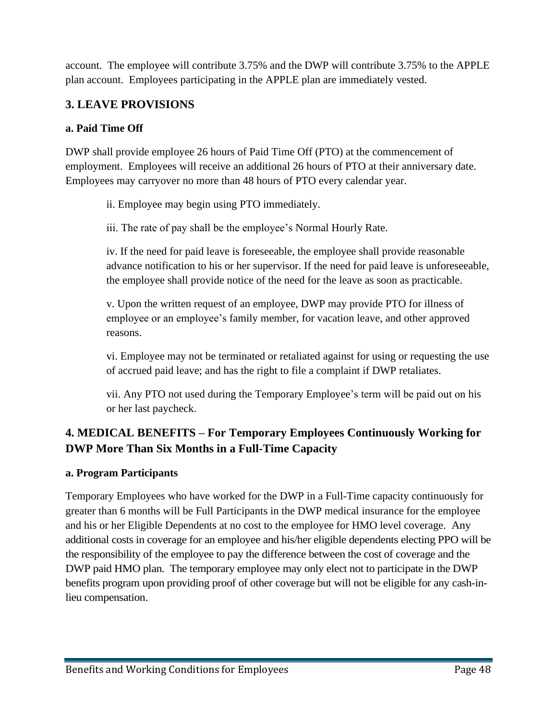account. The employee will contribute 3.75% and the DWP will contribute 3.75% to the APPLE plan account. Employees participating in the APPLE plan are immediately vested.

# <span id="page-47-0"></span>**3. LEAVE PROVISIONS**

### <span id="page-47-1"></span>**a. Paid Time Off**

DWP shall provide employee 26 hours of Paid Time Off (PTO) at the commencement of employment. Employees will receive an additional 26 hours of PTO at their anniversary date. Employees may carryover no more than 48 hours of PTO every calendar year.

ii. Employee may begin using PTO immediately.

iii. The rate of pay shall be the employee's Normal Hourly Rate.

iv. If the need for paid leave is foreseeable, the employee shall provide reasonable advance notification to his or her supervisor. If the need for paid leave is unforeseeable, the employee shall provide notice of the need for the leave as soon as practicable.

v. Upon the written request of an employee, DWP may provide PTO for illness of employee or an employee's family member, for vacation leave, and other approved reasons.

vi. Employee may not be terminated or retaliated against for using or requesting the use of accrued paid leave; and has the right to file a complaint if DWP retaliates.

vii. Any PTO not used during the Temporary Employee's term will be paid out on his or her last paycheck.

# <span id="page-47-2"></span>**4. MEDICAL BENEFITS – For Temporary Employees Continuously Working for DWP More Than Six Months in a Full-Time Capacity**

### <span id="page-47-3"></span>**a. Program Participants**

Temporary Employees who have worked for the DWP in a Full-Time capacity continuously for greater than 6 months will be Full Participants in the DWP medical insurance for the employee and his or her Eligible Dependents at no cost to the employee for HMO level coverage. Any additional costs in coverage for an employee and his/her eligible dependents electing PPO will be the responsibility of the employee to pay the difference between the cost of coverage and the DWP paid HMO plan. The temporary employee may only elect not to participate in the DWP benefits program upon providing proof of other coverage but will not be eligible for any cash-inlieu compensation.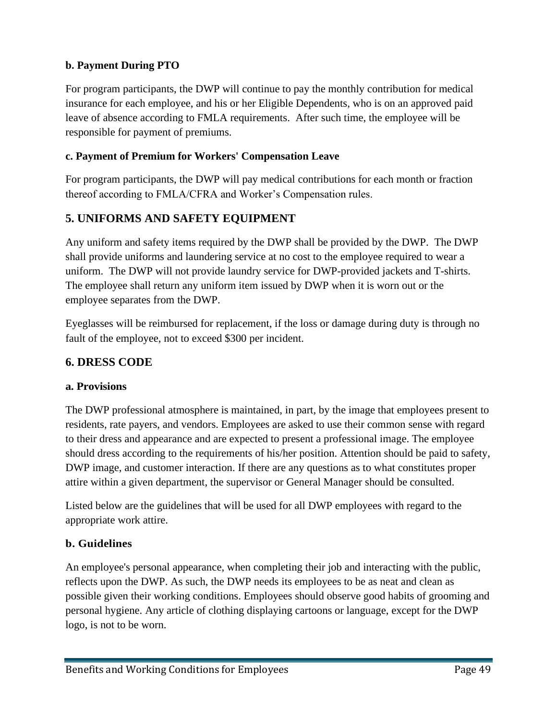### <span id="page-48-0"></span>**b. Payment During PTO**

For program participants, the DWP will continue to pay the monthly contribution for medical insurance for each employee, and his or her Eligible Dependents, who is on an approved paid leave of absence according to FMLA requirements. After such time, the employee will be responsible for payment of premiums.

### <span id="page-48-1"></span>**c. Payment of Premium for Workers' Compensation Leave**

For program participants, the DWP will pay medical contributions for each month or fraction thereof according to FMLA/CFRA and Worker's Compensation rules.

### <span id="page-48-2"></span>**5. UNIFORMS AND SAFETY EQUIPMENT**

Any uniform and safety items required by the DWP shall be provided by the DWP. The DWP shall provide uniforms and laundering service at no cost to the employee required to wear a uniform. The DWP will not provide laundry service for DWP-provided jackets and T-shirts. The employee shall return any uniform item issued by DWP when it is worn out or the employee separates from the DWP.

Eyeglasses will be reimbursed for replacement, if the loss or damage during duty is through no fault of the employee, not to exceed \$300 per incident.

### <span id="page-48-3"></span>**6. DRESS CODE**

### <span id="page-48-4"></span>**a. Provisions**

The DWP professional atmosphere is maintained, in part, by the image that employees present to residents, rate payers, and vendors. Employees are asked to use their common sense with regard to their dress and appearance and are expected to present a professional image. The employee should dress according to the requirements of his/her position. Attention should be paid to safety, DWP image, and customer interaction. If there are any questions as to what constitutes proper attire within a given department, the supervisor or General Manager should be consulted.

Listed below are the guidelines that will be used for all DWP employees with regard to the appropriate work attire.

### <span id="page-48-5"></span>**b. Guidelines**

An employee's personal appearance, when completing their job and interacting with the public, reflects upon the DWP. As such, the DWP needs its employees to be as neat and clean as possible given their working conditions. Employees should observe good habits of grooming and personal hygiene. Any article of clothing displaying cartoons or language, except for the DWP logo, is not to be worn.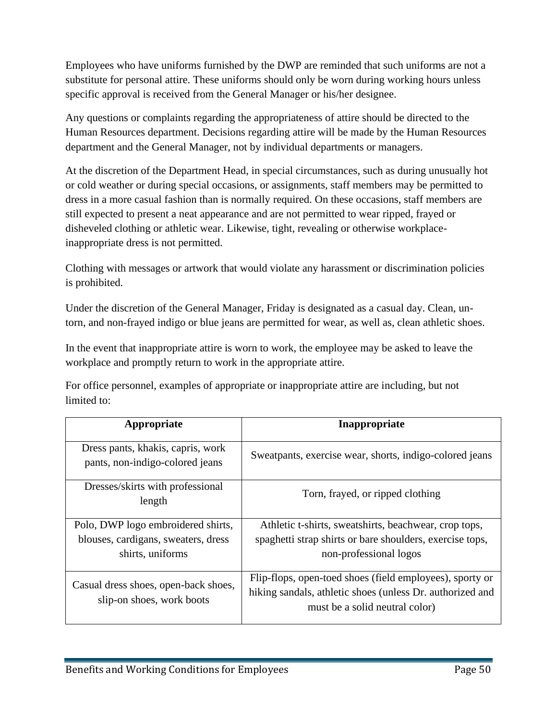Employees who have uniforms furnished by the DWP are reminded that such uniforms are not a substitute for personal attire. These uniforms should only be worn during working hours unless specific approval is received from the General Manager or his/her designee.

Any questions or complaints regarding the appropriateness of attire should be directed to the Human Resources department. Decisions regarding attire will be made by the Human Resources department and the General Manager, not by individual departments or managers.

At the discretion of the Department Head, in special circumstances, such as during unusually hot or cold weather or during special occasions, or assignments, staff members may be permitted to dress in a more casual fashion than is normally required. On these occasions, staff members are still expected to present a neat appearance and are not permitted to wear ripped, frayed or disheveled clothing or athletic wear. Likewise, tight, revealing or otherwise workplaceinappropriate dress is not permitted.

Clothing with messages or artwork that would violate any harassment or discrimination policies is prohibited.

Under the discretion of the General Manager, Friday is designated as a casual day. Clean, untorn, and non-frayed indigo or blue jeans are permitted for wear, as well as, clean athletic shoes.

In the event that inappropriate attire is worn to work, the employee may be asked to leave the workplace and promptly return to work in the appropriate attire.

For office personnel, examples of appropriate or inappropriate attire are including, but not limited to:

| Appropriate                                                          | Inappropriate                                                                                                                                           |
|----------------------------------------------------------------------|---------------------------------------------------------------------------------------------------------------------------------------------------------|
| Dress pants, khakis, capris, work<br>pants, non-indigo-colored jeans | Sweatpants, exercise wear, shorts, indigo-colored jeans                                                                                                 |
| Dresses/skirts with professional<br>length                           | Torn, frayed, or ripped clothing                                                                                                                        |
| Polo, DWP logo embroidered shirts,                                   | Athletic t-shirts, sweatshirts, beachwear, crop tops,                                                                                                   |
| blouses, cardigans, sweaters, dress<br>shirts, uniforms              | spaghetti strap shirts or bare shoulders, exercise tops,<br>non-professional logos                                                                      |
| Casual dress shoes, open-back shoes,<br>slip-on shoes, work boots    | Flip-flops, open-toed shoes (field employees), sporty or<br>hiking sandals, athletic shoes (unless Dr. authorized and<br>must be a solid neutral color) |